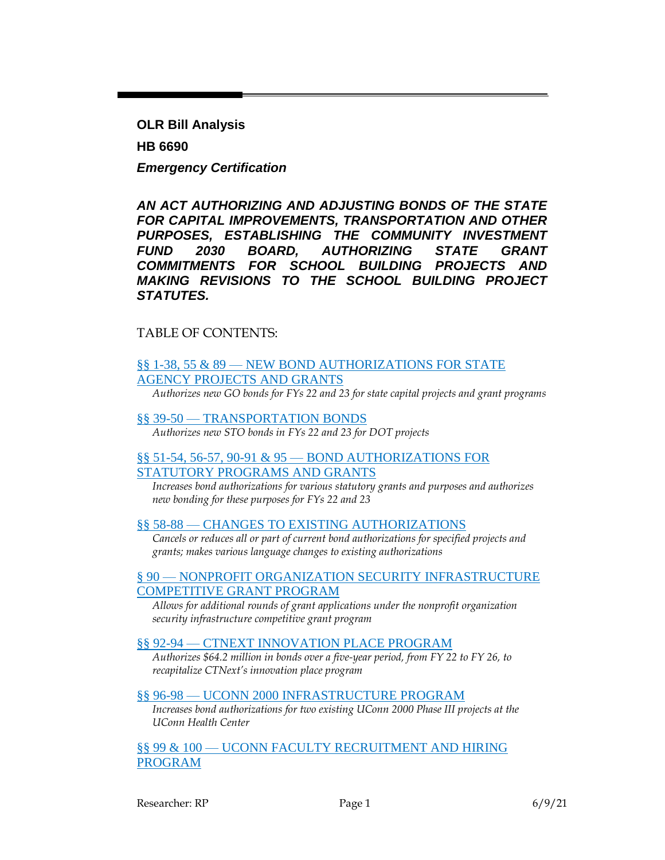**OLR Bill Analysis HB 6690** *Emergency Certification*

*AN ACT AUTHORIZING AND ADJUSTING BONDS OF THE STATE FOR CAPITAL IMPROVEMENTS, TRANSPORTATION AND OTHER PURPOSES, ESTABLISHING THE COMMUNITY INVESTMENT FUND 2030 BOARD, AUTHORIZING STATE GRANT COMMITMENTS FOR SCHOOL BUILDING PROJECTS AND MAKING REVISIONS TO THE SCHOOL BUILDING PROJECT STATUTES.*

### TABLE OF CONTENTS:

## §§ 1-38, 55 & 89 — [NEW BOND AUTHORIZATIONS FOR STATE](#page-2-0)  [AGENCY PROJECTS AND GRANTS](#page-2-0)

*Authorizes new GO bonds for FYs 22 and 23 for state capital projects and grant programs*

#### §§ 39-50 — [TRANSPORTATION BONDS](#page-9-0) *Authorizes new STO bonds in FYs 22 and 23 for DOT projects*

### §§ 51-54, 56-57, 90-91 & 95 — [BOND AUTHORIZATIONS FOR](#page-10-0)  [STATUTORY PROGRAMS AND GRANTS](#page-10-0)

*Increases bond authorizations for various statutory grants and purposes and authorizes new bonding for these purposes for FYs 22 and 23*

#### §§ 58-88 — [CHANGES TO EXISTING AUTHORIZATIONS](#page-11-0)

*Cancels or reduces all or part of current bond authorizations for specified projects and grants; makes various language changes to existing authorizations*

#### § 90 — [NONPROFIT ORGANIZATION SECURITY INFRASTRUCTURE](#page-13-0)  [COMPETITIVE GRANT PROGRAM](#page-13-0)

*Allows for additional rounds of grant applications under the nonprofit organization security infrastructure competitive grant program*

### §§ 92-94 — [CTNEXT INNOVATION PLACE PROGRAM](#page-13-1)

*Authorizes \$64.2 million in bonds over a five-year period, from FY 22 to FY 26, to recapitalize CTNext's innovation place program*

### §§ 96-98 — [UCONN 2000 INFRASTRUCTURE PROGRAM](#page-14-0)

*Increases bond authorizations for two existing UConn 2000 Phase III projects at the UConn Health Center*

### §§ 99 & 100 — [UCONN FACULTY RECRUITMENT AND HIRING](#page-15-0)  [PROGRAM](#page-15-0)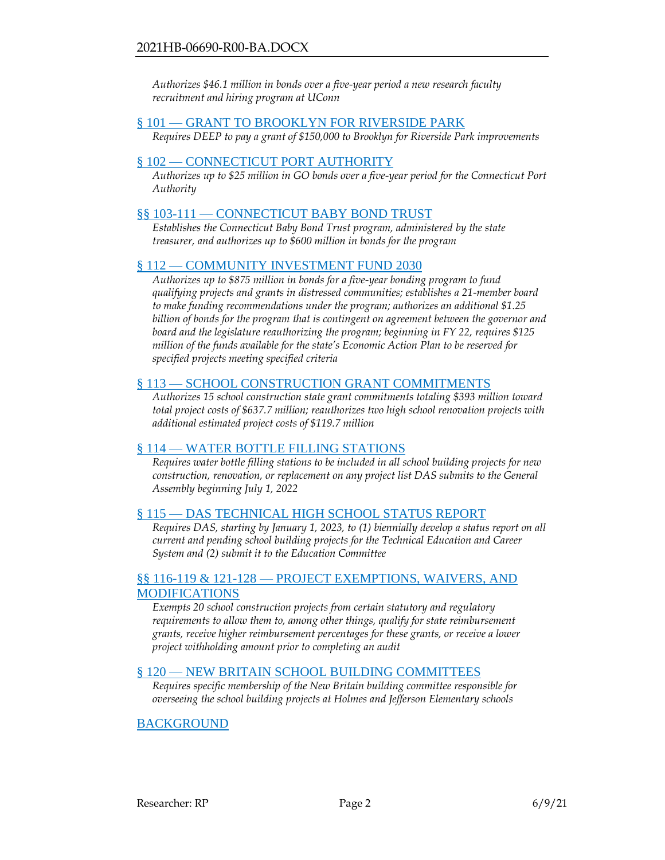*Authorizes \$46.1 million in bonds over a five-year period a new research faculty recruitment and hiring program at UConn*

### § 101 — [GRANT TO BROOKLYN FOR RIVERSIDE PARK](#page-16-0)

*Requires DEEP to pay a grant of \$150,000 to Brooklyn for Riverside Park improvements*

### § 102 — [CONNECTICUT PORT AUTHORITY](#page-16-1)

*Authorizes up to \$25 million in GO bonds over a five-year period for the Connecticut Port Authority*

### §§ 103-111 — [CONNECTICUT BABY BOND TRUST](#page-17-0)

*Establishes the Connecticut Baby Bond Trust program, administered by the state treasurer, and authorizes up to \$600 million in bonds for the program*

#### § 112 — [COMMUNITY INVESTMENT](#page-22-0) FUND 2030

*Authorizes up to \$875 million in bonds for a five-year bonding program to fund qualifying projects and grants in distressed communities; establishes a 21-member board to make funding recommendations under the program; authorizes an additional \$1.25 billion of bonds for the program that is contingent on agreement between the governor and board and the legislature reauthorizing the program; beginning in FY 22, requires \$125 million of the funds available for the state's Economic Action Plan to be reserved for specified projects meeting specified criteria*

#### § 113 — [SCHOOL CONSTRUCTION GRANT COMMITMENTS](#page-29-0)

*Authorizes 15 school construction state grant commitments totaling \$393 million toward total project costs of \$637.7 million; reauthorizes two high school renovation projects with additional estimated project costs of \$119.7 million*

### § 114 — [WATER BOTTLE FILLING](#page-31-0) STATIONS

*Requires water bottle filling stations to be included in all school building projects for new construction, renovation, or replacement on any project list DAS submits to the General Assembly beginning July 1, 2022*

#### § 115 — [DAS TECHNICAL HIGH SCHOOL STATUS REPORT](#page-32-0)

*Requires DAS, starting by January 1, 2023, to (1) biennially develop a status report on all current and pending school building projects for the Technical Education and Career System and (2) submit it to the Education Committee*

#### §§ 116-119 & 121-128 — [PROJECT EXEMPTIONS, WAIVERS, AND](#page-32-1)  [MODIFICATIONS](#page-32-1)

*Exempts 20 school construction projects from certain statutory and regulatory requirements to allow them to, among other things, qualify for state reimbursement grants, receive higher reimbursement percentages for these grants, or receive a lower project withholding amount prior to completing an audit*

### § 120 — [NEW BRITAIN SCHOOL BUILDING COMMITTEES](#page-35-0)

*Requires specific membership of the New Britain building committee responsible for overseeing the school building projects at Holmes and Jefferson Elementary schools*

### [BACKGROUND](#page-36-0)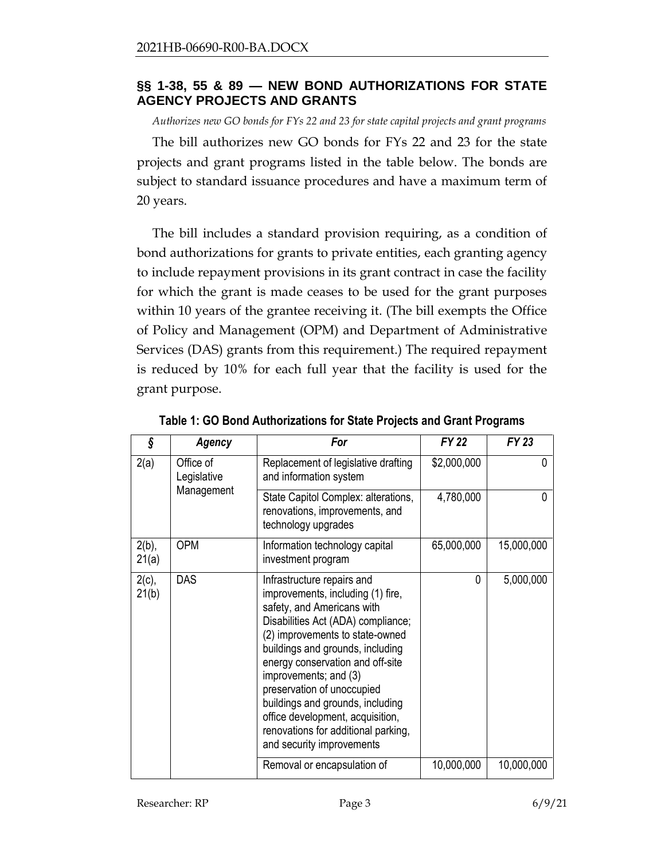### <span id="page-2-0"></span>**§§ 1-38, 55 & 89 — NEW BOND AUTHORIZATIONS FOR STATE AGENCY PROJECTS AND GRANTS**

*Authorizes new GO bonds for FYs 22 and 23 for state capital projects and grant programs*

The bill authorizes new GO bonds for FYs 22 and 23 for the state projects and grant programs listed in the table below. The bonds are subject to standard issuance procedures and have a maximum term of 20 years.

The bill includes a standard provision requiring, as a condition of bond authorizations for grants to private entities, each granting agency to include repayment provisions in its grant contract in case the facility for which the grant is made ceases to be used for the grant purposes within 10 years of the grantee receiving it. (The bill exempts the Office of Policy and Management (OPM) and Department of Administrative Services (DAS) grants from this requirement.) The required repayment is reduced by 10% for each full year that the facility is used for the grant purpose.

| ş                 | Agency                   | For                                                                                                                                                                                                                                                                                                                                                                                                                                               | <b>FY 22</b> | FY 23      |
|-------------------|--------------------------|---------------------------------------------------------------------------------------------------------------------------------------------------------------------------------------------------------------------------------------------------------------------------------------------------------------------------------------------------------------------------------------------------------------------------------------------------|--------------|------------|
| 2(a)              | Office of<br>Legislative | Replacement of legislative drafting<br>and information system                                                                                                                                                                                                                                                                                                                                                                                     | \$2,000,000  | 0          |
|                   | Management               | State Capitol Complex: alterations,<br>renovations, improvements, and<br>technology upgrades                                                                                                                                                                                                                                                                                                                                                      | 4,780,000    | 0          |
| $2(b)$ ,<br>21(a) | <b>OPM</b>               | Information technology capital<br>investment program                                                                                                                                                                                                                                                                                                                                                                                              | 65,000,000   | 15,000,000 |
| $2(c)$ ,<br>21(b) | <b>DAS</b>               | Infrastructure repairs and<br>improvements, including (1) fire,<br>safety, and Americans with<br>Disabilities Act (ADA) compliance;<br>(2) improvements to state-owned<br>buildings and grounds, including<br>energy conservation and off-site<br>improvements; and (3)<br>preservation of unoccupied<br>buildings and grounds, including<br>office development, acquisition,<br>renovations for additional parking,<br>and security improvements | 0            | 5,000,000  |
|                   |                          | Removal or encapsulation of                                                                                                                                                                                                                                                                                                                                                                                                                       | 10,000,000   | 10,000,000 |

**Table 1: GO Bond Authorizations for State Projects and Grant Programs**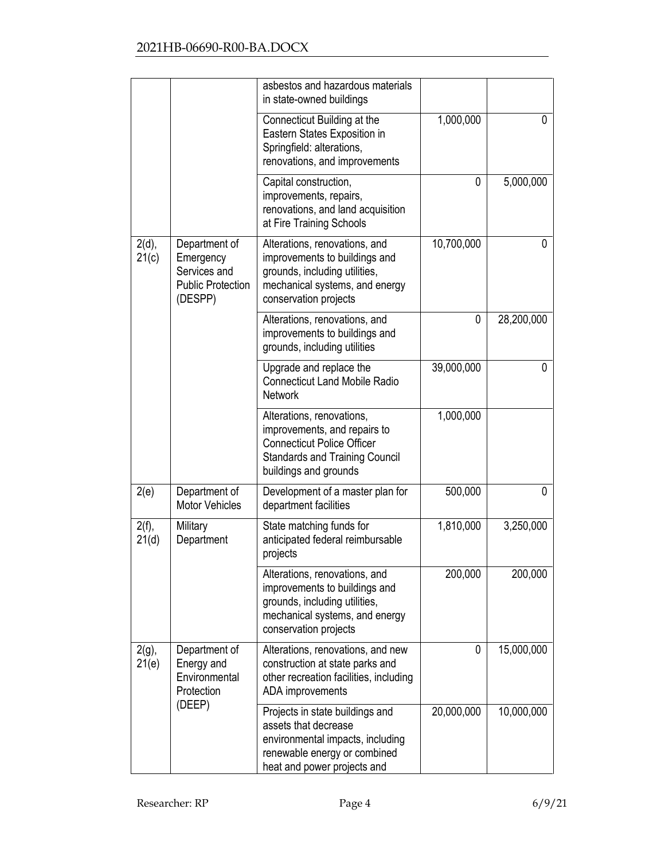|                   |                                                                                   | asbestos and hazardous materials<br>in state-owned buildings                                                                                                     |            |            |
|-------------------|-----------------------------------------------------------------------------------|------------------------------------------------------------------------------------------------------------------------------------------------------------------|------------|------------|
|                   |                                                                                   | Connecticut Building at the<br>Eastern States Exposition in<br>Springfield: alterations,<br>renovations, and improvements                                        | 1,000,000  | 0          |
|                   |                                                                                   | Capital construction,<br>improvements, repairs,<br>renovations, and land acquisition<br>at Fire Training Schools                                                 | 0          | 5,000,000  |
| $2(d)$ ,<br>21(c) | Department of<br>Emergency<br>Services and<br><b>Public Protection</b><br>(DESPP) | Alterations, renovations, and<br>improvements to buildings and<br>grounds, including utilities,<br>mechanical systems, and energy<br>conservation projects       | 10,700,000 | 0          |
|                   |                                                                                   | Alterations, renovations, and<br>improvements to buildings and<br>grounds, including utilities                                                                   | 0          | 28,200,000 |
|                   |                                                                                   | Upgrade and replace the<br><b>Connecticut Land Mobile Radio</b><br><b>Network</b>                                                                                | 39,000,000 | $\Omega$   |
|                   |                                                                                   | Alterations, renovations,<br>improvements, and repairs to<br><b>Connecticut Police Officer</b><br><b>Standards and Training Council</b><br>buildings and grounds | 1,000,000  |            |
| 2(e)              | Department of<br><b>Motor Vehicles</b>                                            | Development of a master plan for<br>department facilities                                                                                                        | 500,000    | 0          |
| $2(f)$ ,<br>21(d) | Military<br>Department                                                            | State matching funds for<br>anticipated federal reimbursable<br>projects                                                                                         | 1,810,000  | 3,250,000  |
|                   |                                                                                   | Alterations, renovations, and<br>improvements to buildings and<br>grounds, including utilities,<br>mechanical systems, and energy<br>conservation projects       | 200,000    | 200,000    |
| $2(g)$ ,<br>21(e) | Department of<br>Energy and<br>Environmental<br>Protection                        | Alterations, renovations, and new<br>construction at state parks and<br>other recreation facilities, including<br>ADA improvements                               | $\Omega$   | 15,000,000 |
|                   | (DEEP)                                                                            | Projects in state buildings and<br>assets that decrease<br>environmental impacts, including<br>renewable energy or combined<br>heat and power projects and       | 20,000,000 | 10,000,000 |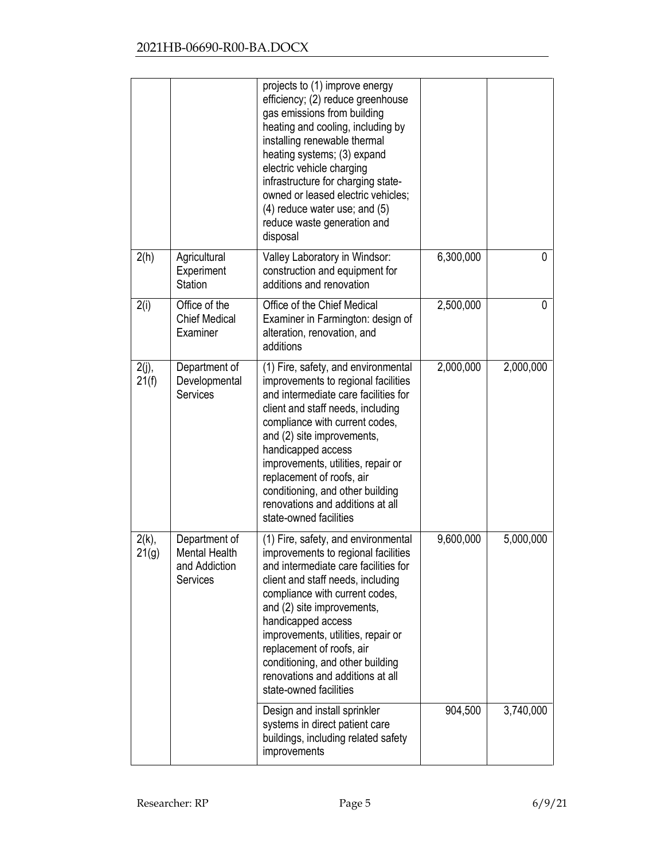|                   |                                                                    | projects to (1) improve energy<br>efficiency; (2) reduce greenhouse<br>gas emissions from building<br>heating and cooling, including by<br>installing renewable thermal<br>heating systems; (3) expand<br>electric vehicle charging<br>infrastructure for charging state-<br>owned or leased electric vehicles;<br>$(4)$ reduce water use; and $(5)$<br>reduce waste generation and<br>disposal                    |           |           |
|-------------------|--------------------------------------------------------------------|--------------------------------------------------------------------------------------------------------------------------------------------------------------------------------------------------------------------------------------------------------------------------------------------------------------------------------------------------------------------------------------------------------------------|-----------|-----------|
| 2(h)              | Agricultural<br>Experiment<br>Station                              | Valley Laboratory in Windsor:<br>construction and equipment for<br>additions and renovation                                                                                                                                                                                                                                                                                                                        | 6,300,000 | 0         |
| 2(i)              | Office of the<br><b>Chief Medical</b><br>Examiner                  | Office of the Chief Medical<br>Examiner in Farmington: design of<br>alteration, renovation, and<br>additions                                                                                                                                                                                                                                                                                                       | 2,500,000 | 0         |
| $2(j)$ ,<br>21(f) | Department of<br>Developmental<br>Services                         | (1) Fire, safety, and environmental<br>improvements to regional facilities<br>and intermediate care facilities for<br>client and staff needs, including<br>compliance with current codes,<br>and (2) site improvements,<br>handicapped access<br>improvements, utilities, repair or<br>replacement of roofs, air<br>conditioning, and other building<br>renovations and additions at all<br>state-owned facilities | 2,000,000 | 2,000,000 |
| $2(k)$ ,<br>21(g) | Department of<br><b>Mental Health</b><br>and Addiction<br>Services | (1) Fire, safety, and environmental<br>improvements to regional facilities<br>and intermediate care facilities for<br>client and staff needs, including<br>compliance with current codes,<br>and (2) site improvements,<br>handicapped access<br>improvements, utilities, repair or<br>replacement of roofs, air<br>conditioning, and other building<br>renovations and additions at all<br>state-owned facilities | 9,600,000 | 5,000,000 |
|                   |                                                                    | Design and install sprinkler<br>systems in direct patient care<br>buildings, including related safety<br>improvements                                                                                                                                                                                                                                                                                              | 904,500   | 3,740,000 |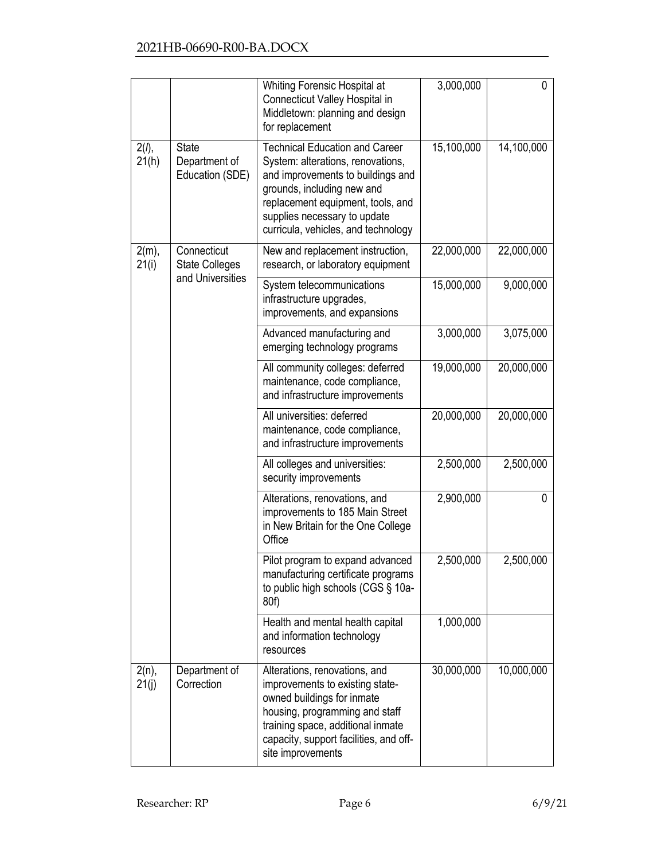|                   |                                                  | Whiting Forensic Hospital at<br>Connecticut Valley Hospital in<br>Middletown: planning and design<br>for replacement                                                                                                                                      | 3,000,000  | 0          |
|-------------------|--------------------------------------------------|-----------------------------------------------------------------------------------------------------------------------------------------------------------------------------------------------------------------------------------------------------------|------------|------------|
| $2(l)$ ,<br>21(h) | <b>State</b><br>Department of<br>Education (SDE) | <b>Technical Education and Career</b><br>System: alterations, renovations,<br>and improvements to buildings and<br>grounds, including new and<br>replacement equipment, tools, and<br>supplies necessary to update<br>curricula, vehicles, and technology | 15,100,000 | 14,100,000 |
| $2(m)$ ,<br>21(i) | Connecticut<br><b>State Colleges</b>             | New and replacement instruction,<br>research, or laboratory equipment                                                                                                                                                                                     | 22,000,000 | 22,000,000 |
|                   | and Universities                                 | System telecommunications<br>infrastructure upgrades,<br>improvements, and expansions                                                                                                                                                                     | 15,000,000 | 9,000,000  |
|                   |                                                  | Advanced manufacturing and<br>emerging technology programs                                                                                                                                                                                                | 3,000,000  | 3,075,000  |
|                   |                                                  | All community colleges: deferred<br>maintenance, code compliance,<br>and infrastructure improvements                                                                                                                                                      | 19,000,000 | 20,000,000 |
|                   |                                                  | All universities: deferred<br>maintenance, code compliance,<br>and infrastructure improvements                                                                                                                                                            | 20,000,000 | 20,000,000 |
|                   |                                                  | All colleges and universities:<br>security improvements                                                                                                                                                                                                   | 2,500,000  | 2,500,000  |
|                   |                                                  | Alterations, renovations, and<br>improvements to 185 Main Street<br>in New Britain for the One College<br>Office                                                                                                                                          | 2,900,000  | 0          |
|                   |                                                  | Pilot program to expand advanced<br>manufacturing certificate programs<br>to public high schools (CGS § 10a-<br>80f)                                                                                                                                      | 2,500,000  | 2,500,000  |
|                   |                                                  | Health and mental health capital<br>and information technology<br>resources                                                                                                                                                                               | 1,000,000  |            |
| $2(n)$ ,<br>21(j) | Department of<br>Correction                      | Alterations, renovations, and<br>improvements to existing state-<br>owned buildings for inmate<br>housing, programming and staff<br>training space, additional inmate<br>capacity, support facilities, and off-<br>site improvements                      | 30,000,000 | 10,000,000 |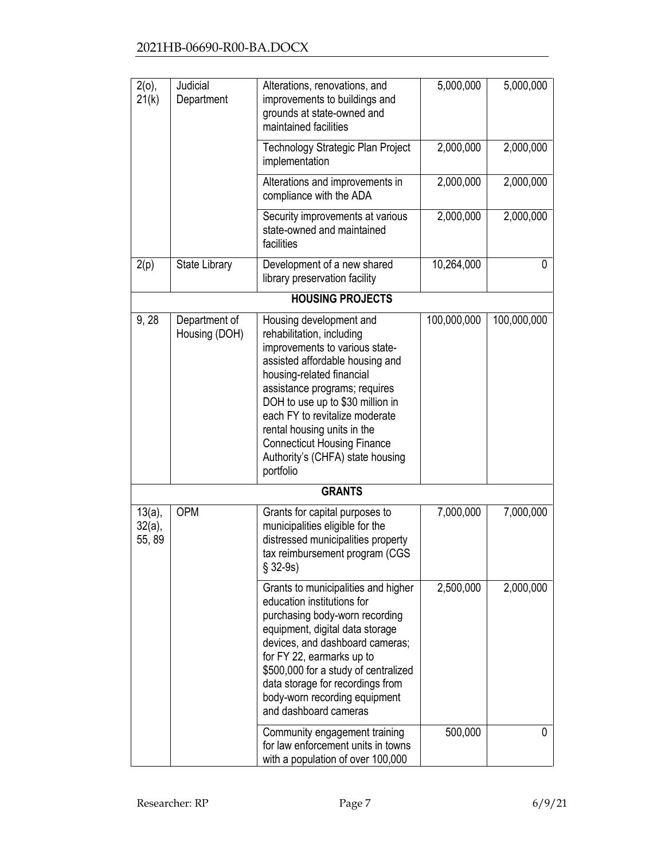| $2(0)$ ,<br>21(k)                | Judicial<br>Department         | Alterations, renovations, and<br>improvements to buildings and                                                                                                                                                                                                                                                                                                                      | 5,000,000   | 5,000,000   |
|----------------------------------|--------------------------------|-------------------------------------------------------------------------------------------------------------------------------------------------------------------------------------------------------------------------------------------------------------------------------------------------------------------------------------------------------------------------------------|-------------|-------------|
|                                  |                                | grounds at state-owned and<br>maintained facilities                                                                                                                                                                                                                                                                                                                                 |             |             |
|                                  |                                | Technology Strategic Plan Project<br>implementation                                                                                                                                                                                                                                                                                                                                 | 2,000,000   | 2,000,000   |
|                                  |                                | Alterations and improvements in<br>compliance with the ADA                                                                                                                                                                                                                                                                                                                          | 2,000,000   | 2,000,000   |
|                                  |                                | Security improvements at various<br>state-owned and maintained<br>facilities                                                                                                                                                                                                                                                                                                        | 2,000,000   | 2,000,000   |
| 2(p)                             | State Library                  | Development of a new shared<br>library preservation facility                                                                                                                                                                                                                                                                                                                        | 10,264,000  | 0           |
|                                  |                                | <b>HOUSING PROJECTS</b>                                                                                                                                                                                                                                                                                                                                                             |             |             |
| 9,28                             | Department of<br>Housing (DOH) | Housing development and<br>rehabilitation, including<br>improvements to various state-<br>assisted affordable housing and<br>housing-related financial<br>assistance programs; requires<br>DOH to use up to \$30 million in<br>each FY to revitalize moderate<br>rental housing units in the<br><b>Connecticut Housing Finance</b><br>Authority's (CHFA) state housing<br>portfolio | 100,000,000 | 100,000,000 |
|                                  |                                | <b>GRANTS</b>                                                                                                                                                                                                                                                                                                                                                                       |             |             |
| $13(a)$ ,<br>$32(a)$ ,<br>55, 89 | <b>OPM</b>                     | Grants for capital purposes to<br>municipalities eligible for the<br>distressed municipalities property<br>tax reimbursement program (CGS<br>$§ 32-9s)$                                                                                                                                                                                                                             | 7,000,000   | 7,000,000   |
|                                  |                                | Grants to municipalities and higher<br>education institutions for<br>purchasing body-worn recording<br>equipment, digital data storage<br>devices, and dashboard cameras;<br>for FY 22, earmarks up to<br>\$500,000 for a study of centralized<br>data storage for recordings from<br>body-worn recording equipment<br>and dashboard cameras                                        | 2,500,000   | 2,000,000   |
|                                  |                                | Community engagement training<br>for law enforcement units in towns<br>with a population of over 100,000                                                                                                                                                                                                                                                                            | 500,000     | 0           |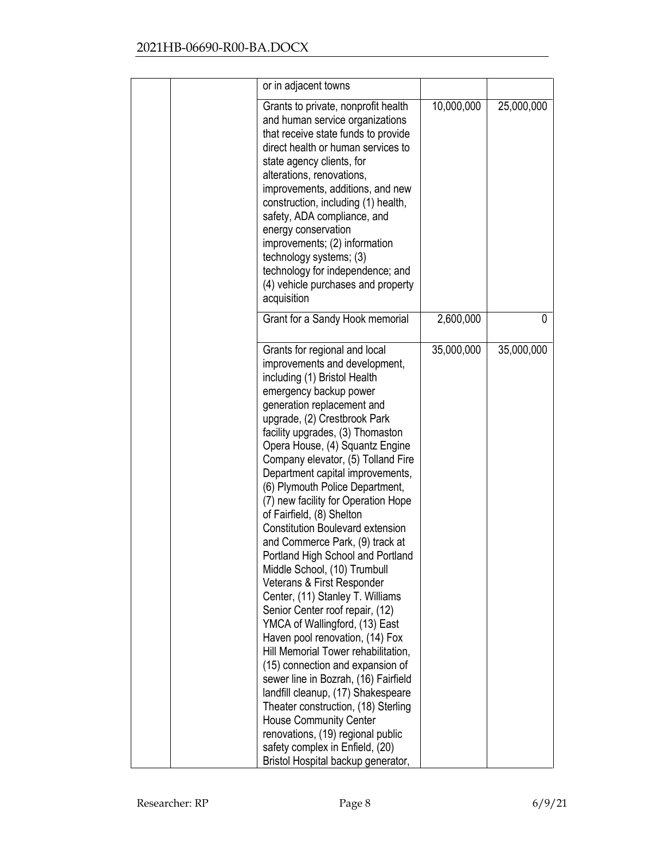| or in adjacent towns                                                                                                                                                                                                                                                                                                                                                                                                                                                                                                                                                                                                                                                                                                                                                                                                                                                                                                                                                                                                                                                                                                       |            |            |
|----------------------------------------------------------------------------------------------------------------------------------------------------------------------------------------------------------------------------------------------------------------------------------------------------------------------------------------------------------------------------------------------------------------------------------------------------------------------------------------------------------------------------------------------------------------------------------------------------------------------------------------------------------------------------------------------------------------------------------------------------------------------------------------------------------------------------------------------------------------------------------------------------------------------------------------------------------------------------------------------------------------------------------------------------------------------------------------------------------------------------|------------|------------|
| Grants to private, nonprofit health<br>and human service organizations<br>that receive state funds to provide<br>direct health or human services to<br>state agency clients, for<br>alterations, renovations,<br>improvements, additions, and new<br>construction, including (1) health,<br>safety, ADA compliance, and<br>energy conservation<br>improvements; (2) information<br>technology systems; (3)<br>technology for independence; and<br>(4) vehicle purchases and property<br>acquisition                                                                                                                                                                                                                                                                                                                                                                                                                                                                                                                                                                                                                        | 10,000,000 | 25,000,000 |
| Grant for a Sandy Hook memorial                                                                                                                                                                                                                                                                                                                                                                                                                                                                                                                                                                                                                                                                                                                                                                                                                                                                                                                                                                                                                                                                                            | 2,600,000  | 0          |
| Grants for regional and local<br>improvements and development,<br>including (1) Bristol Health<br>emergency backup power<br>generation replacement and<br>upgrade, (2) Crestbrook Park<br>facility upgrades, (3) Thomaston<br>Opera House, (4) Squantz Engine<br>Company elevator, (5) Tolland Fire<br>Department capital improvements,<br>(6) Plymouth Police Department,<br>(7) new facility for Operation Hope<br>of Fairfield, (8) Shelton<br><b>Constitution Boulevard extension</b><br>and Commerce Park, (9) track at<br>Portland High School and Portland<br>Middle School, (10) Trumbull<br>Veterans & First Responder<br>Center, (11) Stanley T. Williams<br>Senior Center roof repair, (12)<br>YMCA of Wallingford, (13) East<br>Haven pool renovation, (14) Fox<br>Hill Memorial Tower rehabilitation,<br>(15) connection and expansion of<br>sewer line in Bozrah, (16) Fairfield<br>landfill cleanup, (17) Shakespeare<br>Theater construction, (18) Sterling<br><b>House Community Center</b><br>renovations, (19) regional public<br>safety complex in Enfield, (20)<br>Bristol Hospital backup generator, | 35,000,000 | 35,000,000 |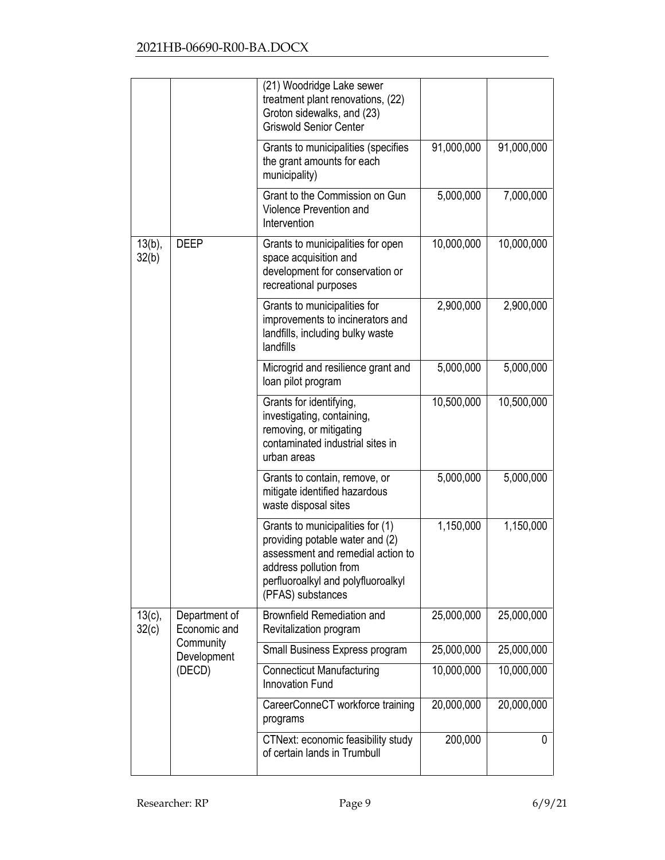|                    |                               | (21) Woodridge Lake sewer<br>treatment plant renovations, (22)<br>Groton sidewalks, and (23)<br><b>Griswold Senior Center</b>                                                                 |            |            |
|--------------------|-------------------------------|-----------------------------------------------------------------------------------------------------------------------------------------------------------------------------------------------|------------|------------|
|                    |                               | Grants to municipalities (specifies<br>the grant amounts for each<br>municipality)                                                                                                            | 91,000,000 | 91,000,000 |
|                    |                               | Grant to the Commission on Gun<br>Violence Prevention and<br>Intervention                                                                                                                     | 5,000,000  | 7,000,000  |
| $13(b)$ ,<br>32(b) | <b>DEEP</b>                   | Grants to municipalities for open<br>space acquisition and<br>development for conservation or<br>recreational purposes                                                                        | 10,000,000 | 10,000,000 |
|                    |                               | Grants to municipalities for<br>improvements to incinerators and<br>landfills, including bulky waste<br>landfills                                                                             | 2,900,000  | 2,900,000  |
|                    |                               | Microgrid and resilience grant and<br>loan pilot program                                                                                                                                      | 5,000,000  | 5,000,000  |
|                    |                               | Grants for identifying,<br>investigating, containing,<br>removing, or mitigating<br>contaminated industrial sites in<br>urban areas                                                           | 10,500,000 | 10,500,000 |
|                    |                               | Grants to contain, remove, or<br>mitigate identified hazardous<br>waste disposal sites                                                                                                        | 5,000,000  | 5,000,000  |
|                    |                               | Grants to municipalities for (1)<br>providing potable water and (2)<br>assessment and remedial action to<br>address pollution from<br>perfluoroalkyl and polyfluoroalkyl<br>(PFAS) substances | 1,150,000  | 1,150,000  |
| $13(c)$ ,<br>32(c) | Department of<br>Economic and | Brownfield Remediation and<br>Revitalization program                                                                                                                                          | 25,000,000 | 25,000,000 |
|                    | Community<br>Development      | Small Business Express program                                                                                                                                                                | 25,000,000 | 25,000,000 |
|                    | (DECD)                        | <b>Connecticut Manufacturing</b><br><b>Innovation Fund</b>                                                                                                                                    | 10,000,000 | 10,000,000 |
|                    |                               | CareerConneCT workforce training<br>programs                                                                                                                                                  | 20,000,000 | 20,000,000 |
|                    |                               | CTNext: economic feasibility study<br>of certain lands in Trumbull                                                                                                                            | 200,000    | 0          |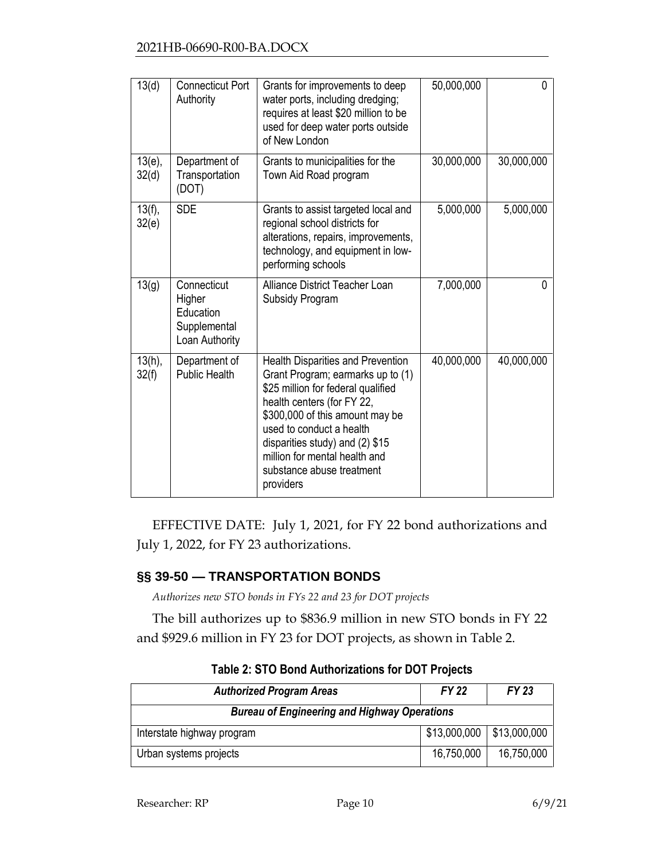| 13(d)              | <b>Connecticut Port</b><br>Authority                                 | Grants for improvements to deep<br>water ports, including dredging;<br>requires at least \$20 million to be<br>used for deep water ports outside<br>of New London                                                                                                                                                       | 50,000,000 | 0          |
|--------------------|----------------------------------------------------------------------|-------------------------------------------------------------------------------------------------------------------------------------------------------------------------------------------------------------------------------------------------------------------------------------------------------------------------|------------|------------|
| $13(e)$ ,<br>32(d) | Department of<br>Transportation<br>(DOT)                             | Grants to municipalities for the<br>Town Aid Road program                                                                                                                                                                                                                                                               | 30,000,000 | 30,000,000 |
| 13(f),<br>32(e)    | <b>SDE</b>                                                           | Grants to assist targeted local and<br>regional school districts for<br>alterations, repairs, improvements,<br>technology, and equipment in low-<br>performing schools                                                                                                                                                  | 5,000,000  | 5,000,000  |
| 13(g)              | Connecticut<br>Higher<br>Education<br>Supplemental<br>Loan Authority | Alliance District Teacher Loan<br>Subsidy Program                                                                                                                                                                                                                                                                       | 7,000,000  | 0          |
| $13(h)$ ,<br>32(f) | Department of<br><b>Public Health</b>                                | Health Disparities and Prevention<br>Grant Program; earmarks up to (1)<br>\$25 million for federal qualified<br>health centers (for FY 22,<br>\$300,000 of this amount may be<br>used to conduct a health<br>disparities study) and (2) \$15<br>million for mental health and<br>substance abuse treatment<br>providers | 40,000,000 | 40,000,000 |

EFFECTIVE DATE: July 1, 2021, for FY 22 bond authorizations and July 1, 2022, for FY 23 authorizations.

# <span id="page-9-0"></span>**§§ 39-50 — TRANSPORTATION BONDS**

*Authorizes new STO bonds in FYs 22 and 23 for DOT projects*

The bill authorizes up to \$836.9 million in new STO bonds in FY 22 and \$929.6 million in FY 23 for DOT projects, as shown in Table 2.

| <b>Authorized Program Areas</b>                     | <b>FY 22</b> | FY 23        |
|-----------------------------------------------------|--------------|--------------|
| <b>Bureau of Engineering and Highway Operations</b> |              |              |
| Interstate highway program                          | \$13,000,000 | \$13,000,000 |
| Urban systems projects                              | 16,750,000   | 16,750,000   |

**Table 2: STO Bond Authorizations for DOT Projects**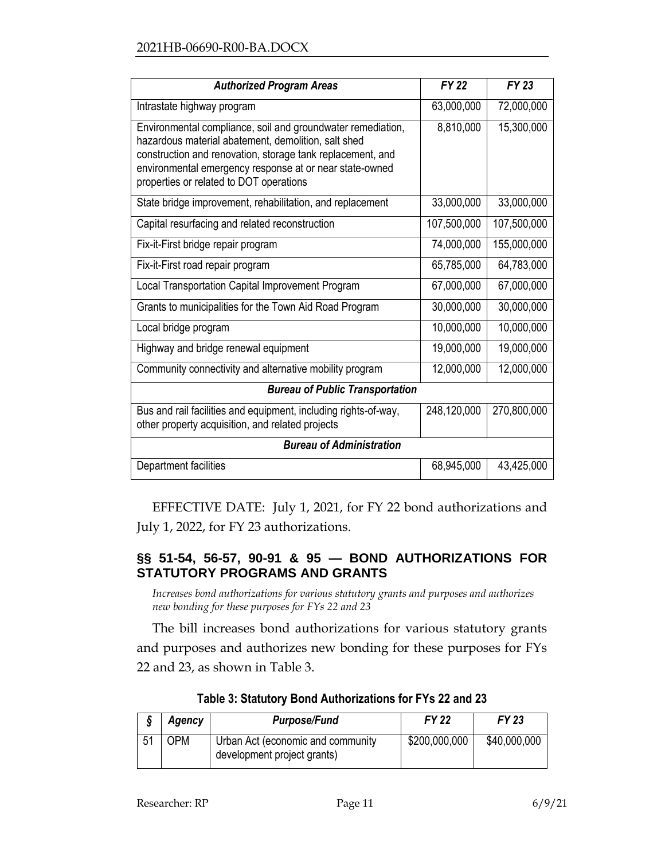| <b>Authorized Program Areas</b>                                                                                                                                                                                                                                                        | <b>FY 22</b> | FY 23       |
|----------------------------------------------------------------------------------------------------------------------------------------------------------------------------------------------------------------------------------------------------------------------------------------|--------------|-------------|
| Intrastate highway program                                                                                                                                                                                                                                                             | 63,000,000   | 72,000,000  |
| Environmental compliance, soil and groundwater remediation,<br>hazardous material abatement, demolition, salt shed<br>construction and renovation, storage tank replacement, and<br>environmental emergency response at or near state-owned<br>properties or related to DOT operations | 8,810,000    | 15,300,000  |
| State bridge improvement, rehabilitation, and replacement                                                                                                                                                                                                                              | 33,000,000   | 33,000,000  |
| Capital resurfacing and related reconstruction                                                                                                                                                                                                                                         | 107,500,000  | 107,500,000 |
| Fix-it-First bridge repair program                                                                                                                                                                                                                                                     | 74,000,000   | 155,000,000 |
| Fix-it-First road repair program                                                                                                                                                                                                                                                       | 65,785,000   | 64,783,000  |
| Local Transportation Capital Improvement Program                                                                                                                                                                                                                                       | 67,000,000   | 67,000,000  |
| Grants to municipalities for the Town Aid Road Program                                                                                                                                                                                                                                 | 30,000,000   | 30,000,000  |
| Local bridge program                                                                                                                                                                                                                                                                   | 10,000,000   | 10,000,000  |
| Highway and bridge renewal equipment                                                                                                                                                                                                                                                   | 19,000,000   | 19,000,000  |
| Community connectivity and alternative mobility program                                                                                                                                                                                                                                | 12,000,000   | 12,000,000  |
| <b>Bureau of Public Transportation</b>                                                                                                                                                                                                                                                 |              |             |
| Bus and rail facilities and equipment, including rights-of-way,<br>other property acquisition, and related projects                                                                                                                                                                    | 248,120,000  | 270,800,000 |
| <b>Bureau of Administration</b>                                                                                                                                                                                                                                                        |              |             |
| Department facilities                                                                                                                                                                                                                                                                  | 68,945,000   | 43,425,000  |

EFFECTIVE DATE: July 1, 2021, for FY 22 bond authorizations and July 1, 2022, for FY 23 authorizations.

## <span id="page-10-0"></span>**§§ 51-54, 56-57, 90-91 & 95 — BOND AUTHORIZATIONS FOR STATUTORY PROGRAMS AND GRANTS**

*Increases bond authorizations for various statutory grants and purposes and authorizes new bonding for these purposes for FYs 22 and 23*

The bill increases bond authorizations for various statutory grants and purposes and authorizes new bonding for these purposes for FYs 22 and 23, as shown in Table 3.

| Agency | <b>Purpose/Fund</b>                                              | <b>FY 22</b>  | FY 23        |
|--------|------------------------------------------------------------------|---------------|--------------|
| OPM    | Urban Act (economic and community<br>development project grants) | \$200,000,000 | \$40,000,000 |

**Table 3: Statutory Bond Authorizations for FYs 22 and 23**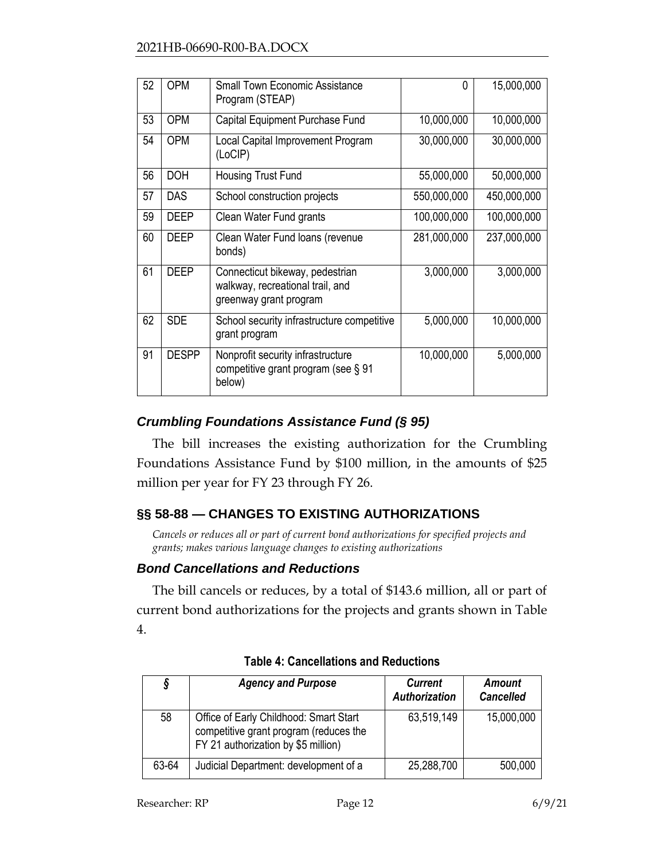| 52 | <b>OPM</b>   | <b>Small Town Economic Assistance</b><br>Program (STEAP)                                      | <sup>0</sup> | 15,000,000  |
|----|--------------|-----------------------------------------------------------------------------------------------|--------------|-------------|
| 53 | <b>OPM</b>   | Capital Equipment Purchase Fund                                                               | 10,000,000   | 10,000,000  |
| 54 | <b>OPM</b>   | Local Capital Improvement Program<br>(LoCIP)                                                  | 30,000,000   | 30,000,000  |
| 56 | <b>DOH</b>   | Housing Trust Fund                                                                            | 55,000,000   | 50,000,000  |
| 57 | <b>DAS</b>   | School construction projects                                                                  | 550,000,000  | 450,000,000 |
| 59 | <b>DEEP</b>  | Clean Water Fund grants                                                                       | 100,000,000  | 100,000,000 |
| 60 | <b>DEEP</b>  | Clean Water Fund loans (revenue<br>bonds)                                                     | 281,000,000  | 237,000,000 |
| 61 | <b>DEEP</b>  | Connecticut bikeway, pedestrian<br>walkway, recreational trail, and<br>greenway grant program | 3,000,000    | 3,000,000   |
| 62 | <b>SDE</b>   | School security infrastructure competitive<br>grant program                                   | 5,000,000    | 10,000,000  |
| 91 | <b>DESPP</b> | Nonprofit security infrastructure<br>competitive grant program (see § 91<br>below)            | 10,000,000   | 5,000,000   |

# *Crumbling Foundations Assistance Fund (§ 95)*

The bill increases the existing authorization for the Crumbling Foundations Assistance Fund by \$100 million, in the amounts of \$25 million per year for FY 23 through FY 26.

# <span id="page-11-0"></span>**§§ 58-88 — CHANGES TO EXISTING AUTHORIZATIONS**

*Cancels or reduces all or part of current bond authorizations for specified projects and grants; makes various language changes to existing authorizations*

## *Bond Cancellations and Reductions*

The bill cancels or reduces, by a total of \$143.6 million, all or part of current bond authorizations for the projects and grants shown in Table 4.

| 9     | <b>Agency and Purpose</b>                                                                                               | <b>Current</b><br>Authorization | Amount<br><b>Cancelled</b> |
|-------|-------------------------------------------------------------------------------------------------------------------------|---------------------------------|----------------------------|
| 58    | Office of Early Childhood: Smart Start<br>competitive grant program (reduces the<br>FY 21 authorization by \$5 million) | 63,519,149                      | 15,000,000                 |
| 63-64 | Judicial Department: development of a                                                                                   | 25,288,700                      | 500,000                    |

# **Table 4: Cancellations and Reductions**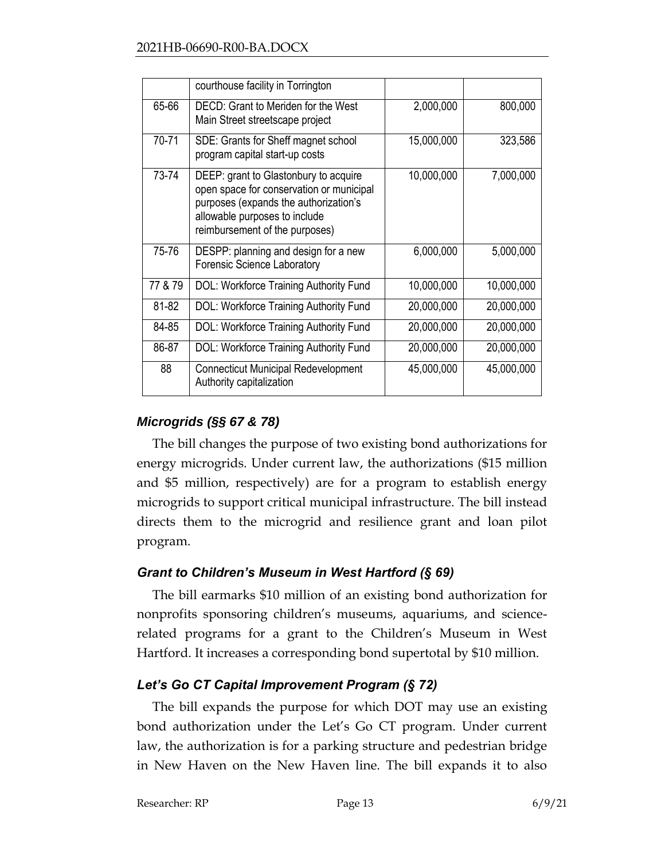|         | courthouse facility in Torrington                                                                                                                                                             |            |            |
|---------|-----------------------------------------------------------------------------------------------------------------------------------------------------------------------------------------------|------------|------------|
| 65-66   | DECD: Grant to Meriden for the West<br>Main Street streetscape project                                                                                                                        | 2,000,000  | 800,000    |
| 70-71   | SDE: Grants for Sheff magnet school<br>program capital start-up costs                                                                                                                         | 15,000,000 | 323,586    |
| 73-74   | DEEP: grant to Glastonbury to acquire<br>open space for conservation or municipal<br>purposes (expands the authorization's<br>allowable purposes to include<br>reimbursement of the purposes) | 10,000,000 | 7,000,000  |
| 75-76   | DESPP: planning and design for a new<br><b>Forensic Science Laboratory</b>                                                                                                                    | 6,000,000  | 5,000,000  |
| 77 & 79 | <b>DOL: Workforce Training Authority Fund</b>                                                                                                                                                 | 10,000,000 | 10,000,000 |
| 81-82   | DOL: Workforce Training Authority Fund                                                                                                                                                        | 20,000,000 | 20,000,000 |
| 84-85   | DOL: Workforce Training Authority Fund                                                                                                                                                        | 20,000,000 | 20,000,000 |
| 86-87   | <b>DOL: Workforce Training Authority Fund</b>                                                                                                                                                 | 20,000,000 | 20,000,000 |
| 88      | <b>Connecticut Municipal Redevelopment</b><br>Authority capitalization                                                                                                                        | 45,000,000 | 45,000,000 |

# *Microgrids (§§ 67 & 78)*

The bill changes the purpose of two existing bond authorizations for energy microgrids. Under current law, the authorizations (\$15 million and \$5 million, respectively) are for a program to establish energy microgrids to support critical municipal infrastructure. The bill instead directs them to the microgrid and resilience grant and loan pilot program.

## *Grant to Children's Museum in West Hartford (§ 69)*

The bill earmarks \$10 million of an existing bond authorization for nonprofits sponsoring children's museums, aquariums, and sciencerelated programs for a grant to the Children's Museum in West Hartford. It increases a corresponding bond supertotal by \$10 million.

# *Let's Go CT Capital Improvement Program (§ 72)*

The bill expands the purpose for which DOT may use an existing bond authorization under the Let's Go CT program. Under current law, the authorization is for a parking structure and pedestrian bridge in New Haven on the New Haven line. The bill expands it to also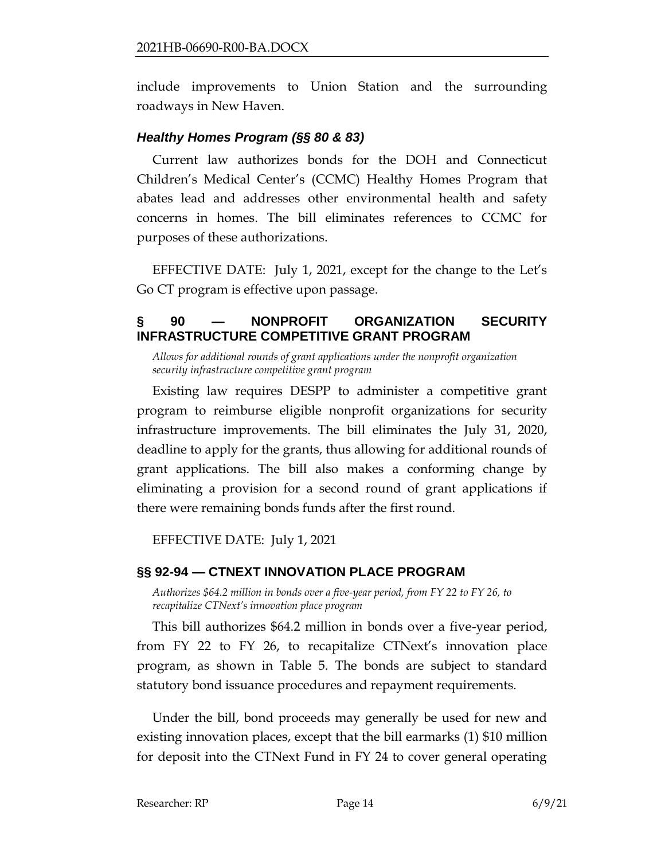include improvements to Union Station and the surrounding roadways in New Haven.

## *Healthy Homes Program (§§ 80 & 83)*

Current law authorizes bonds for the DOH and Connecticut Children's Medical Center's (CCMC) Healthy Homes Program that abates lead and addresses other environmental health and safety concerns in homes. The bill eliminates references to CCMC for purposes of these authorizations.

EFFECTIVE DATE: July 1, 2021, except for the change to the Let's Go CT program is effective upon passage.

## <span id="page-13-0"></span>**§ 90 — NONPROFIT ORGANIZATION SECURITY INFRASTRUCTURE COMPETITIVE GRANT PROGRAM**

*Allows for additional rounds of grant applications under the nonprofit organization security infrastructure competitive grant program*

Existing law requires DESPP to administer a competitive grant program to reimburse eligible nonprofit organizations for security infrastructure improvements. The bill eliminates the July 31, 2020, deadline to apply for the grants, thus allowing for additional rounds of grant applications. The bill also makes a conforming change by eliminating a provision for a second round of grant applications if there were remaining bonds funds after the first round.

EFFECTIVE DATE: July 1, 2021

## <span id="page-13-1"></span>**§§ 92-94 — CTNEXT INNOVATION PLACE PROGRAM**

*Authorizes \$64.2 million in bonds over a five-year period, from FY 22 to FY 26, to recapitalize CTNext's innovation place program*

This bill authorizes \$64.2 million in bonds over a five-year period, from FY 22 to FY 26, to recapitalize CTNext's innovation place program, as shown in Table 5. The bonds are subject to standard statutory bond issuance procedures and repayment requirements.

Under the bill, bond proceeds may generally be used for new and existing innovation places, except that the bill earmarks (1) \$10 million for deposit into the CTNext Fund in FY 24 to cover general operating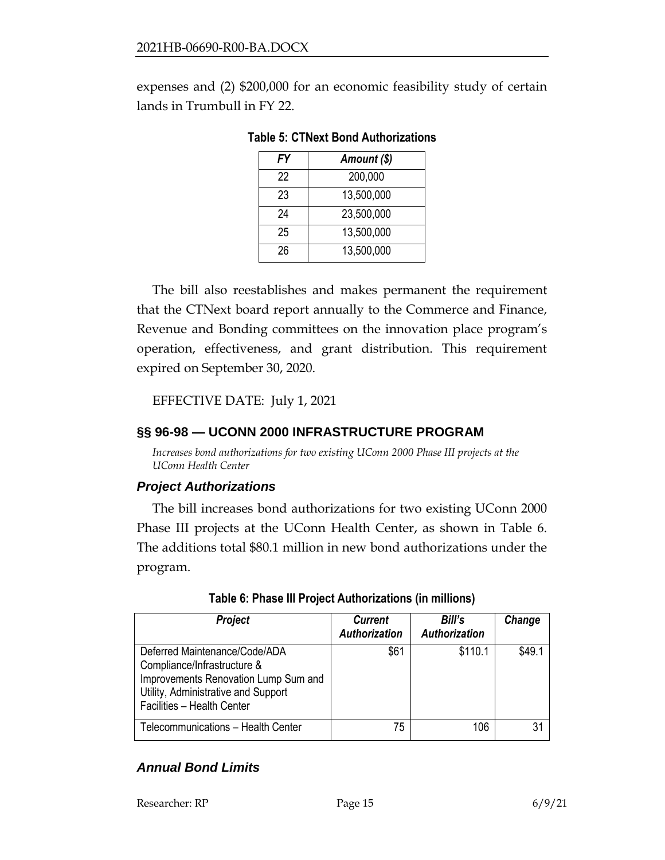expenses and (2) \$200,000 for an economic feasibility study of certain lands in Trumbull in FY 22.

| Amount (\$) |
|-------------|
| 200,000     |
| 13,500,000  |
| 23,500,000  |
| 13,500,000  |
| 13,500,000  |
|             |

**Table 5: CTNext Bond Authorizations**

The bill also reestablishes and makes permanent the requirement that the CTNext board report annually to the Commerce and Finance, Revenue and Bonding committees on the innovation place program's operation, effectiveness, and grant distribution. This requirement expired on September 30, 2020.

EFFECTIVE DATE: July 1, 2021

### <span id="page-14-0"></span>**§§ 96-98 — UCONN 2000 INFRASTRUCTURE PROGRAM**

*Increases bond authorizations for two existing UConn 2000 Phase III projects at the UConn Health Center*

### *Project Authorizations*

The bill increases bond authorizations for two existing UConn 2000 Phase III projects at the UConn Health Center, as shown in Table 6. The additions total \$80.1 million in new bond authorizations under the program.

| Project                                                                                                                                                                   | <b>Current</b><br><b>Authorization</b> | Bill's<br>Authorization | Change |
|---------------------------------------------------------------------------------------------------------------------------------------------------------------------------|----------------------------------------|-------------------------|--------|
| Deferred Maintenance/Code/ADA<br>Compliance/Infrastructure &<br>Improvements Renovation Lump Sum and<br>Utility, Administrative and Support<br>Facilities - Health Center | \$61                                   | \$110.1                 | \$49.1 |
| Telecommunications - Health Center                                                                                                                                        | 75                                     | 106                     | 31     |

### *Annual Bond Limits*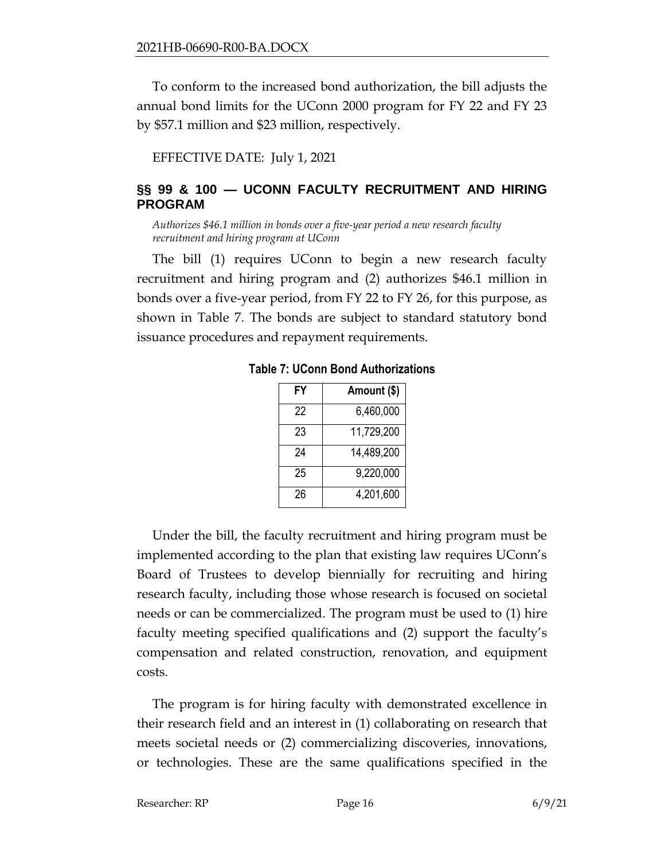To conform to the increased bond authorization, the bill adjusts the annual bond limits for the UConn 2000 program for FY 22 and FY 23 by \$57.1 million and \$23 million, respectively.

EFFECTIVE DATE: July 1, 2021

## <span id="page-15-0"></span>**§§ 99 & 100 — UCONN FACULTY RECRUITMENT AND HIRING PROGRAM**

*Authorizes \$46.1 million in bonds over a five-year period a new research faculty recruitment and hiring program at UConn*

The bill (1) requires UConn to begin a new research faculty recruitment and hiring program and (2) authorizes \$46.1 million in bonds over a five-year period, from FY 22 to FY 26, for this purpose, as shown in Table 7. The bonds are subject to standard statutory bond issuance procedures and repayment requirements.

| FY | Amount (\$) |
|----|-------------|
| 22 | 6,460,000   |
| 23 | 11,729,200  |
| 24 | 14,489,200  |
| 25 | 9,220,000   |
| 26 | 4,201,600   |

**Table 7: UConn Bond Authorizations**

Under the bill, the faculty recruitment and hiring program must be implemented according to the plan that existing law requires UConn's Board of Trustees to develop biennially for recruiting and hiring research faculty, including those whose research is focused on societal needs or can be commercialized. The program must be used to (1) hire faculty meeting specified qualifications and (2) support the faculty's compensation and related construction, renovation, and equipment costs.

The program is for hiring faculty with demonstrated excellence in their research field and an interest in (1) collaborating on research that meets societal needs or (2) commercializing discoveries, innovations, or technologies. These are the same qualifications specified in the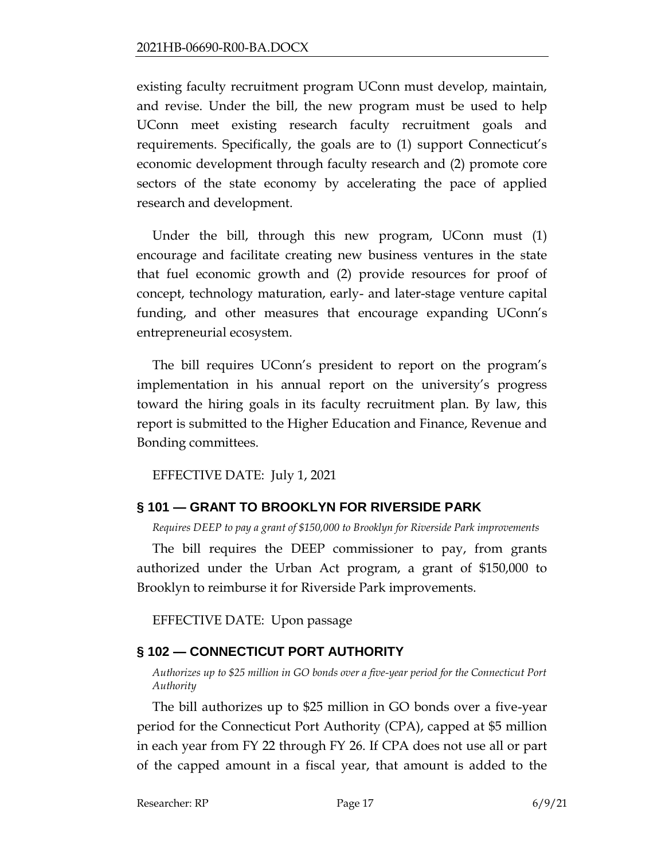existing faculty recruitment program UConn must develop, maintain, and revise. Under the bill, the new program must be used to help UConn meet existing research faculty recruitment goals and requirements. Specifically, the goals are to (1) support Connecticut's economic development through faculty research and (2) promote core sectors of the state economy by accelerating the pace of applied research and development.

Under the bill, through this new program, UConn must (1) encourage and facilitate creating new business ventures in the state that fuel economic growth and (2) provide resources for proof of concept, technology maturation, early- and later-stage venture capital funding, and other measures that encourage expanding UConn's entrepreneurial ecosystem.

The bill requires UConn's president to report on the program's implementation in his annual report on the university's progress toward the hiring goals in its faculty recruitment plan. By law, this report is submitted to the Higher Education and Finance, Revenue and Bonding committees.

EFFECTIVE DATE: July 1, 2021

# <span id="page-16-0"></span>**§ 101 — GRANT TO BROOKLYN FOR RIVERSIDE PARK**

*Requires DEEP to pay a grant of \$150,000 to Brooklyn for Riverside Park improvements*

The bill requires the DEEP commissioner to pay, from grants authorized under the Urban Act program, a grant of \$150,000 to Brooklyn to reimburse it for Riverside Park improvements.

EFFECTIVE DATE: Upon passage

# <span id="page-16-1"></span>**§ 102 — CONNECTICUT PORT AUTHORITY**

*Authorizes up to \$25 million in GO bonds over a five-year period for the Connecticut Port Authority* 

The bill authorizes up to \$25 million in GO bonds over a five-year period for the Connecticut Port Authority (CPA), capped at \$5 million in each year from FY 22 through FY 26. If CPA does not use all or part of the capped amount in a fiscal year, that amount is added to the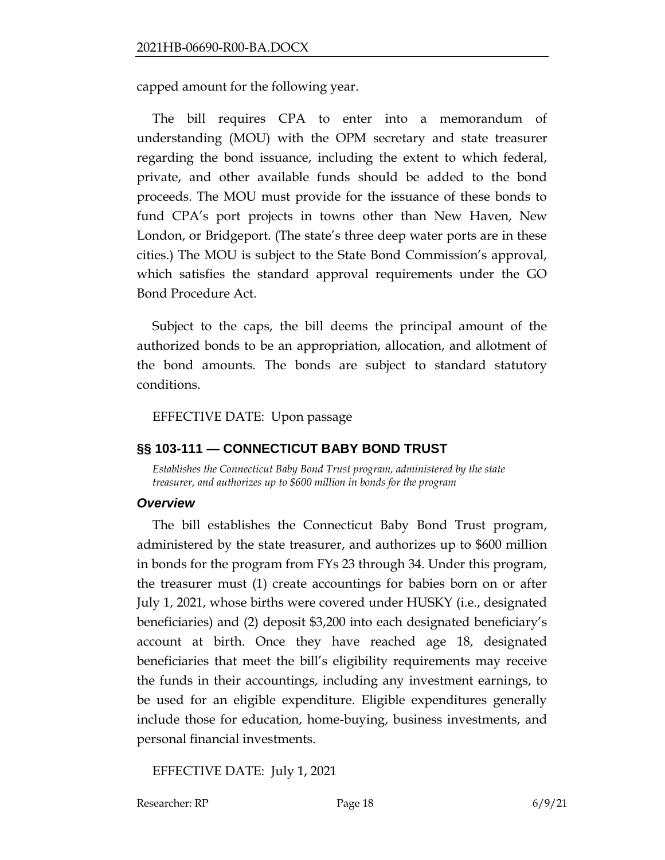capped amount for the following year.

The bill requires CPA to enter into a memorandum of understanding (MOU) with the OPM secretary and state treasurer regarding the bond issuance, including the extent to which federal, private, and other available funds should be added to the bond proceeds. The MOU must provide for the issuance of these bonds to fund CPA's port projects in towns other than New Haven, New London, or Bridgeport. (The state's three deep water ports are in these cities.) The MOU is subject to the State Bond Commission's approval, which satisfies the standard approval requirements under the GO Bond Procedure Act.

Subject to the caps, the bill deems the principal amount of the authorized bonds to be an appropriation, allocation, and allotment of the bond amounts. The bonds are subject to standard statutory conditions.

EFFECTIVE DATE: Upon passage

### <span id="page-17-0"></span>**§§ 103-111 — CONNECTICUT BABY BOND TRUST**

*Establishes the Connecticut Baby Bond Trust program, administered by the state treasurer, and authorizes up to \$600 million in bonds for the program*

### *Overview*

The bill establishes the Connecticut Baby Bond Trust program, administered by the state treasurer, and authorizes up to \$600 million in bonds for the program from FYs 23 through 34. Under this program, the treasurer must (1) create accountings for babies born on or after July 1, 2021, whose births were covered under HUSKY (i.e., designated beneficiaries) and (2) deposit \$3,200 into each designated beneficiary's account at birth. Once they have reached age 18, designated beneficiaries that meet the bill's eligibility requirements may receive the funds in their accountings, including any investment earnings, to be used for an eligible expenditure. Eligible expenditures generally include those for education, home-buying, business investments, and personal financial investments.

EFFECTIVE DATE: July 1, 2021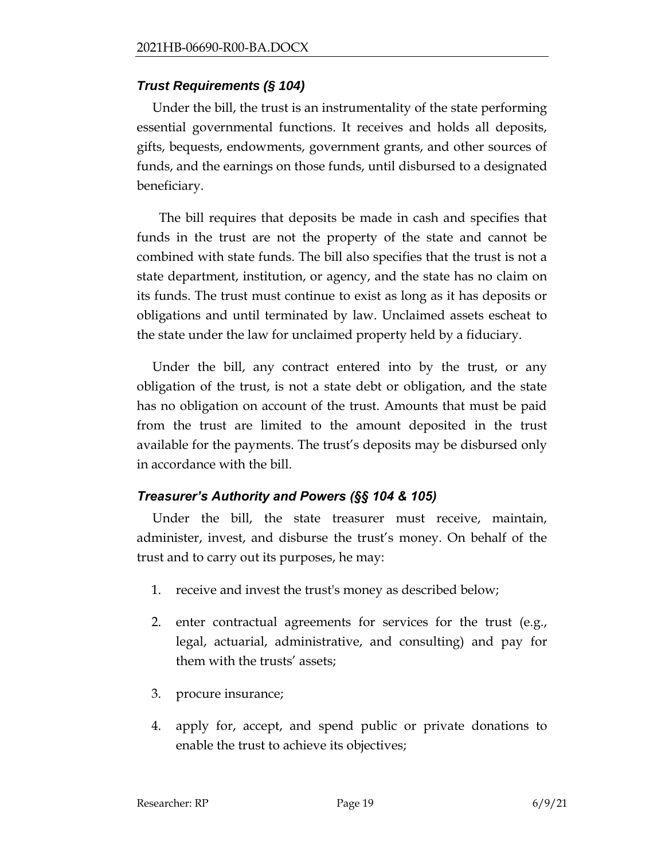### *Trust Requirements (§ 104)*

Under the bill, the trust is an instrumentality of the state performing essential governmental functions. It receives and holds all deposits, gifts, bequests, endowments, government grants, and other sources of funds, and the earnings on those funds, until disbursed to a designated beneficiary.

 The bill requires that deposits be made in cash and specifies that funds in the trust are not the property of the state and cannot be combined with state funds. The bill also specifies that the trust is not a state department, institution, or agency, and the state has no claim on its funds. The trust must continue to exist as long as it has deposits or obligations and until terminated by law. Unclaimed assets escheat to the state under the law for unclaimed property held by a fiduciary.

Under the bill, any contract entered into by the trust, or any obligation of the trust, is not a state debt or obligation, and the state has no obligation on account of the trust. Amounts that must be paid from the trust are limited to the amount deposited in the trust available for the payments. The trust's deposits may be disbursed only in accordance with the bill.

## *Treasurer's Authority and Powers (§§ 104 & 105)*

Under the bill, the state treasurer must receive, maintain, administer, invest, and disburse the trust's money. On behalf of the trust and to carry out its purposes, he may:

- 1. receive and invest the trust's money as described below;
- 2. enter contractual agreements for services for the trust (e.g., legal, actuarial, administrative, and consulting) and pay for them with the trusts' assets;
- 3. procure insurance;
- 4. apply for, accept, and spend public or private donations to enable the trust to achieve its objectives;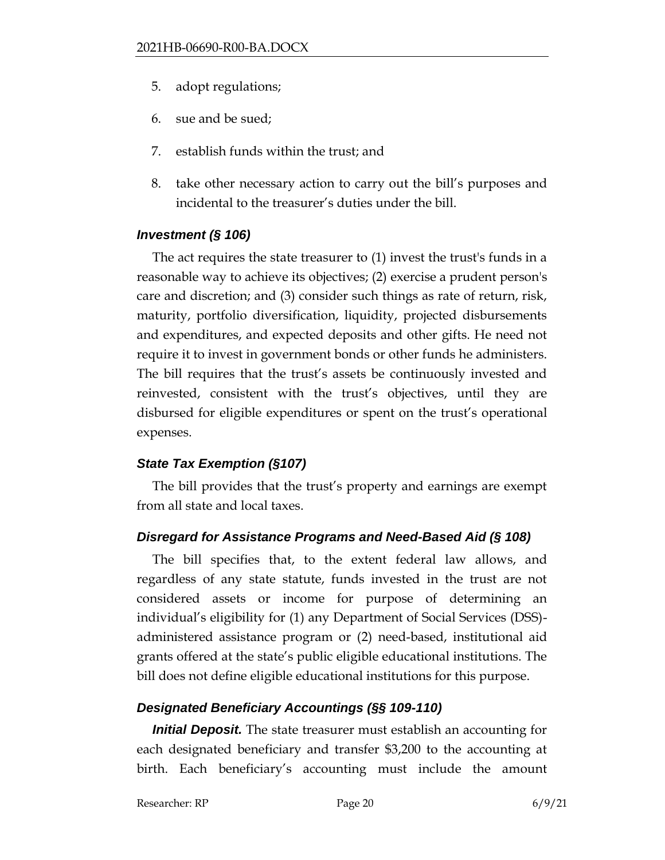- 5. adopt regulations;
- 6. sue and be sued;
- 7. establish funds within the trust; and
- 8. take other necessary action to carry out the bill's purposes and incidental to the treasurer's duties under the bill.

## *Investment (§ 106)*

The act requires the state treasurer to (1) invest the trust's funds in a reasonable way to achieve its objectives; (2) exercise a prudent person's care and discretion; and (3) consider such things as rate of return, risk, maturity, portfolio diversification, liquidity, projected disbursements and expenditures, and expected deposits and other gifts. He need not require it to invest in government bonds or other funds he administers. The bill requires that the trust's assets be continuously invested and reinvested, consistent with the trust's objectives, until they are disbursed for eligible expenditures or spent on the trust's operational expenses.

# *State Tax Exemption (§107)*

The bill provides that the trust's property and earnings are exempt from all state and local taxes.

# *Disregard for Assistance Programs and Need-Based Aid (§ 108)*

The bill specifies that, to the extent federal law allows, and regardless of any state statute, funds invested in the trust are not considered assets or income for purpose of determining an individual's eligibility for (1) any Department of Social Services (DSS) administered assistance program or (2) need-based, institutional aid grants offered at the state's public eligible educational institutions. The bill does not define eligible educational institutions for this purpose.

# *Designated Beneficiary Accountings (§§ 109-110)*

*Initial Deposit.* The state treasurer must establish an accounting for each designated beneficiary and transfer \$3,200 to the accounting at birth. Each beneficiary's accounting must include the amount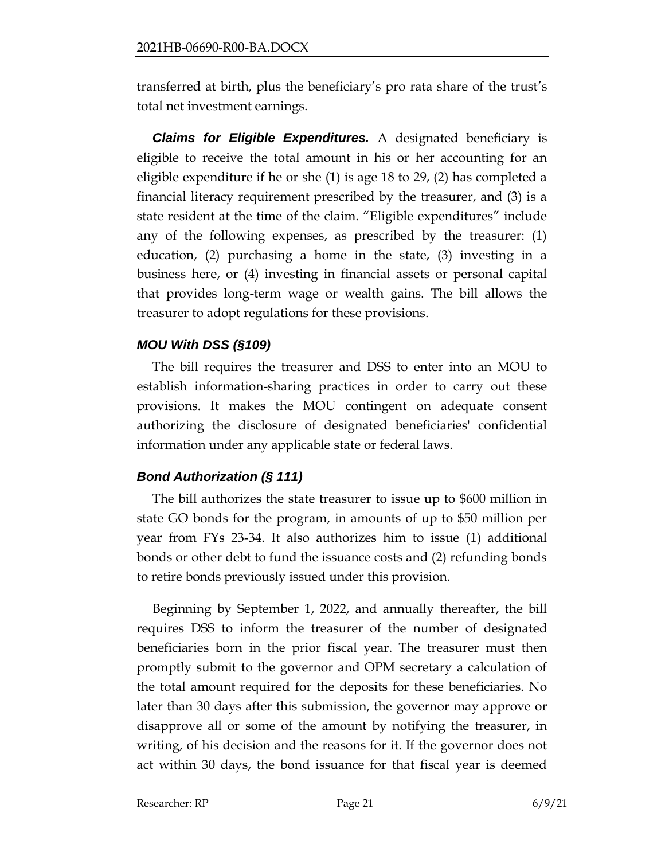transferred at birth, plus the beneficiary's pro rata share of the trust's total net investment earnings.

*Claims for Eligible Expenditures.* A designated beneficiary is eligible to receive the total amount in his or her accounting for an eligible expenditure if he or she (1) is age 18 to 29, (2) has completed a financial literacy requirement prescribed by the treasurer, and (3) is a state resident at the time of the claim. "Eligible expenditures" include any of the following expenses, as prescribed by the treasurer: (1) education, (2) purchasing a home in the state, (3) investing in a business here, or (4) investing in financial assets or personal capital that provides long-term wage or wealth gains. The bill allows the treasurer to adopt regulations for these provisions.

## *MOU With DSS (§109)*

The bill requires the treasurer and DSS to enter into an MOU to establish information-sharing practices in order to carry out these provisions. It makes the MOU contingent on adequate consent authorizing the disclosure of designated beneficiaries' confidential information under any applicable state or federal laws.

# *Bond Authorization (§ 111)*

The bill authorizes the state treasurer to issue up to \$600 million in state GO bonds for the program, in amounts of up to \$50 million per year from FYs 23-34. It also authorizes him to issue (1) additional bonds or other debt to fund the issuance costs and (2) refunding bonds to retire bonds previously issued under this provision.

Beginning by September 1, 2022, and annually thereafter, the bill requires DSS to inform the treasurer of the number of designated beneficiaries born in the prior fiscal year. The treasurer must then promptly submit to the governor and OPM secretary a calculation of the total amount required for the deposits for these beneficiaries. No later than 30 days after this submission, the governor may approve or disapprove all or some of the amount by notifying the treasurer, in writing, of his decision and the reasons for it. If the governor does not act within 30 days, the bond issuance for that fiscal year is deemed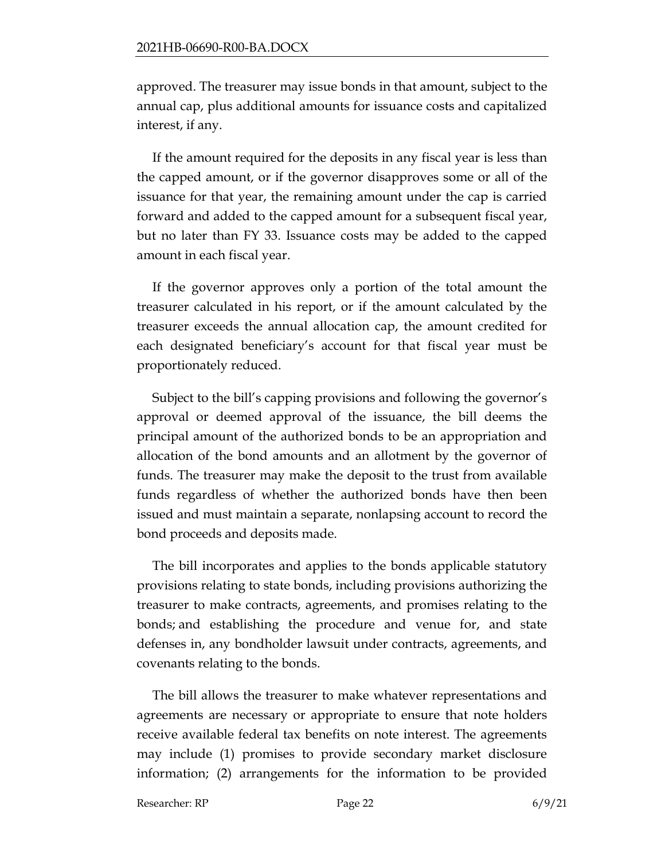approved. The treasurer may issue bonds in that amount, subject to the annual cap, plus additional amounts for issuance costs and capitalized interest, if any.

If the amount required for the deposits in any fiscal year is less than the capped amount, or if the governor disapproves some or all of the issuance for that year, the remaining amount under the cap is carried forward and added to the capped amount for a subsequent fiscal year, but no later than FY 33. Issuance costs may be added to the capped amount in each fiscal year.

If the governor approves only a portion of the total amount the treasurer calculated in his report, or if the amount calculated by the treasurer exceeds the annual allocation cap, the amount credited for each designated beneficiary's account for that fiscal year must be proportionately reduced.

Subject to the bill's capping provisions and following the governor's approval or deemed approval of the issuance, the bill deems the principal amount of the authorized bonds to be an appropriation and allocation of the bond amounts and an allotment by the governor of funds. The treasurer may make the deposit to the trust from available funds regardless of whether the authorized bonds have then been issued and must maintain a separate, nonlapsing account to record the bond proceeds and deposits made.

The bill incorporates and applies to the bonds applicable statutory provisions relating to state bonds, including provisions authorizing the treasurer to make contracts, agreements, and promises relating to the bonds; and establishing the procedure and venue for, and state defenses in, any bondholder lawsuit under contracts, agreements, and covenants relating to the bonds.

The bill allows the treasurer to make whatever representations and agreements are necessary or appropriate to ensure that note holders receive available federal tax benefits on note interest. The agreements may include (1) promises to provide secondary market disclosure information; (2) arrangements for the information to be provided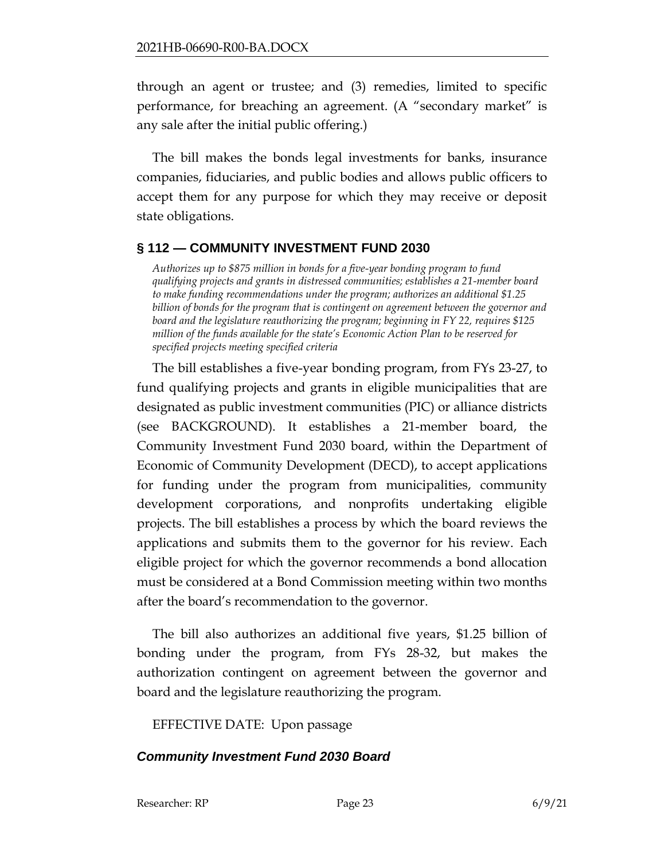through an agent or trustee; and (3) remedies, limited to specific performance, for breaching an agreement. (A "secondary market" is any sale after the initial public offering.)

The bill makes the bonds legal investments for banks, insurance companies, fiduciaries, and public bodies and allows public officers to accept them for any purpose for which they may receive or deposit state obligations.

## <span id="page-22-0"></span>**§ 112 — COMMUNITY INVESTMENT FUND 2030**

*Authorizes up to \$875 million in bonds for a five-year bonding program to fund qualifying projects and grants in distressed communities; establishes a 21-member board to make funding recommendations under the program; authorizes an additional \$1.25 billion of bonds for the program that is contingent on agreement between the governor and board and the legislature reauthorizing the program; beginning in FY 22, requires \$125 million of the funds available for the state's Economic Action Plan to be reserved for specified projects meeting specified criteria*

The bill establishes a five-year bonding program, from FYs 23-27, to fund qualifying projects and grants in eligible municipalities that are designated as public investment communities (PIC) or alliance districts (see BACKGROUND). It establishes a 21-member board, the Community Investment Fund 2030 board, within the Department of Economic of Community Development (DECD), to accept applications for funding under the program from municipalities, community development corporations, and nonprofits undertaking eligible projects. The bill establishes a process by which the board reviews the applications and submits them to the governor for his review. Each eligible project for which the governor recommends a bond allocation must be considered at a Bond Commission meeting within two months after the board's recommendation to the governor.

The bill also authorizes an additional five years, \$1.25 billion of bonding under the program, from FYs 28-32, but makes the authorization contingent on agreement between the governor and board and the legislature reauthorizing the program.

EFFECTIVE DATE: Upon passage

## *Community Investment Fund 2030 Board*

Researcher: RP Page 23 6/9/21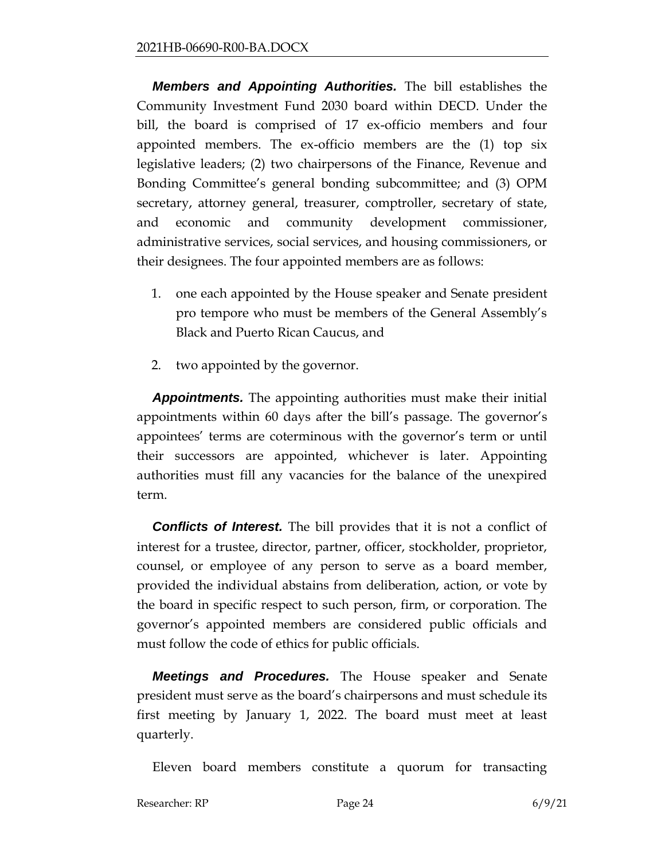*Members and Appointing Authorities.* The bill establishes the Community Investment Fund 2030 board within DECD. Under the bill, the board is comprised of 17 ex-officio members and four appointed members. The ex-officio members are the (1) top six legislative leaders; (2) two chairpersons of the Finance, Revenue and Bonding Committee's general bonding subcommittee; and (3) OPM secretary, attorney general, treasurer, comptroller, secretary of state, and economic and community development commissioner, administrative services, social services, and housing commissioners, or their designees. The four appointed members are as follows:

- 1. one each appointed by the House speaker and Senate president pro tempore who must be members of the General Assembly's Black and Puerto Rican Caucus, and
- 2. two appointed by the governor.

*Appointments.* The appointing authorities must make their initial appointments within 60 days after the bill's passage. The governor's appointees' terms are coterminous with the governor's term or until their successors are appointed, whichever is later. Appointing authorities must fill any vacancies for the balance of the unexpired term.

*Conflicts of Interest.* The bill provides that it is not a conflict of interest for a trustee, director, partner, officer, stockholder, proprietor, counsel, or employee of any person to serve as a board member, provided the individual abstains from deliberation, action, or vote by the board in specific respect to such person, firm, or corporation. The governor's appointed members are considered public officials and must follow the code of ethics for public officials.

*Meetings and Procedures.* The House speaker and Senate president must serve as the board's chairpersons and must schedule its first meeting by January 1, 2022. The board must meet at least quarterly.

Eleven board members constitute a quorum for transacting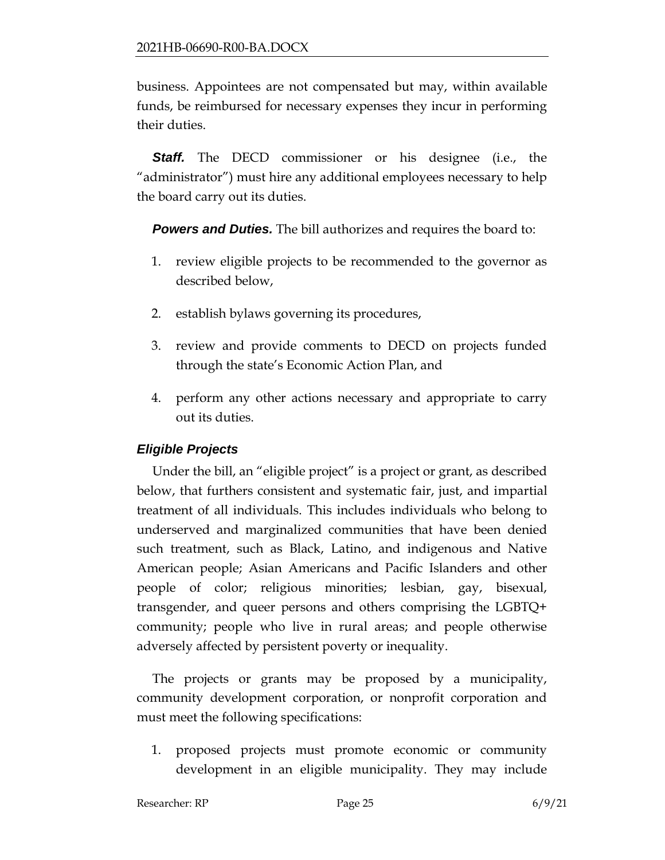business. Appointees are not compensated but may, within available funds, be reimbursed for necessary expenses they incur in performing their duties.

**Staff.** The DECD commissioner or his designee (i.e., the "administrator") must hire any additional employees necessary to help the board carry out its duties.

*Powers and Duties.* The bill authorizes and requires the board to:

- 1. review eligible projects to be recommended to the governor as described below,
- 2. establish bylaws governing its procedures,
- 3. review and provide comments to DECD on projects funded through the state's Economic Action Plan, and
- 4. perform any other actions necessary and appropriate to carry out its duties.

### *Eligible Projects*

Under the bill, an "eligible project" is a project or grant, as described below, that furthers consistent and systematic fair, just, and impartial treatment of all individuals. This includes individuals who belong to underserved and marginalized communities that have been denied such treatment, such as Black, Latino, and indigenous and Native American people; Asian Americans and Pacific Islanders and other people of color; religious minorities; lesbian, gay, bisexual, transgender, and queer persons and others comprising the LGBTQ+ community; people who live in rural areas; and people otherwise adversely affected by persistent poverty or inequality.

The projects or grants may be proposed by a municipality, community development corporation, or nonprofit corporation and must meet the following specifications:

1. proposed projects must promote economic or community development in an eligible municipality. They may include

Researcher: RP Page 25 6/9/21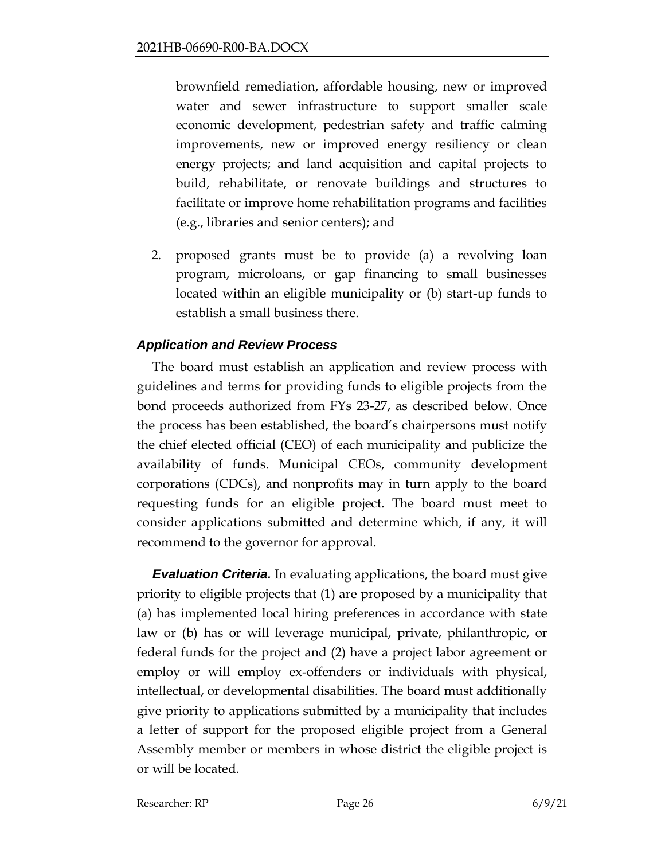brownfield remediation, affordable housing, new or improved water and sewer infrastructure to support smaller scale economic development, pedestrian safety and traffic calming improvements, new or improved energy resiliency or clean energy projects; and land acquisition and capital projects to build, rehabilitate, or renovate buildings and structures to facilitate or improve home rehabilitation programs and facilities (e.g., libraries and senior centers); and

2. proposed grants must be to provide (a) a revolving loan program, microloans, or gap financing to small businesses located within an eligible municipality or (b) start-up funds to establish a small business there.

## *Application and Review Process*

The board must establish an application and review process with guidelines and terms for providing funds to eligible projects from the bond proceeds authorized from FYs 23-27, as described below. Once the process has been established, the board's chairpersons must notify the chief elected official (CEO) of each municipality and publicize the availability of funds. Municipal CEOs, community development corporations (CDCs), and nonprofits may in turn apply to the board requesting funds for an eligible project. The board must meet to consider applications submitted and determine which, if any, it will recommend to the governor for approval.

*Evaluation Criteria.* In evaluating applications, the board must give priority to eligible projects that (1) are proposed by a municipality that (a) has implemented local hiring preferences in accordance with state law or (b) has or will leverage municipal, private, philanthropic, or federal funds for the project and (2) have a project labor agreement or employ or will employ ex-offenders or individuals with physical, intellectual, or developmental disabilities. The board must additionally give priority to applications submitted by a municipality that includes a letter of support for the proposed eligible project from a General Assembly member or members in whose district the eligible project is or will be located.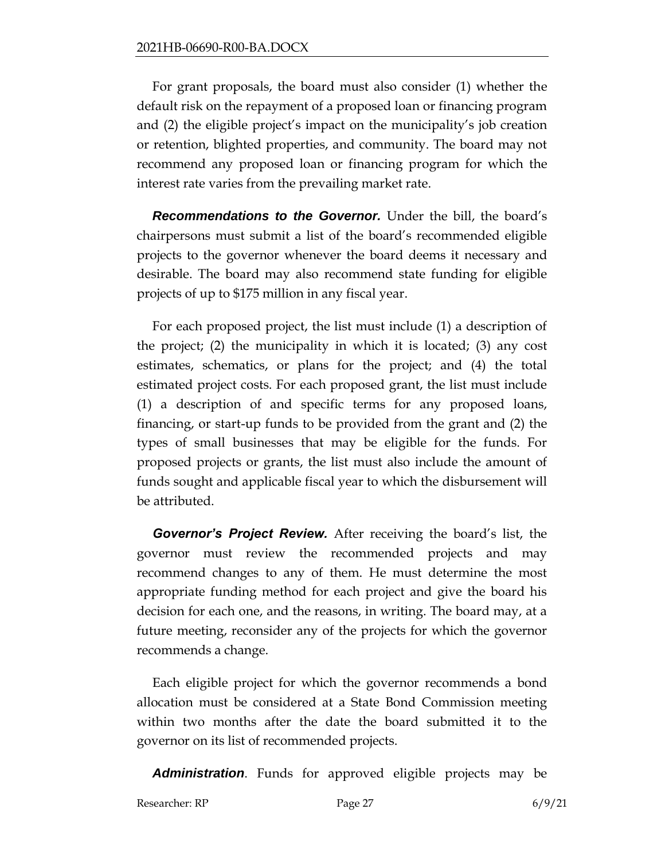For grant proposals, the board must also consider (1) whether the default risk on the repayment of a proposed loan or financing program and (2) the eligible project's impact on the municipality's job creation or retention, blighted properties, and community. The board may not recommend any proposed loan or financing program for which the interest rate varies from the prevailing market rate.

**Recommendations to the Governor.** Under the bill, the board's chairpersons must submit a list of the board's recommended eligible projects to the governor whenever the board deems it necessary and desirable. The board may also recommend state funding for eligible projects of up to \$175 million in any fiscal year.

For each proposed project, the list must include (1) a description of the project; (2) the municipality in which it is located; (3) any cost estimates, schematics, or plans for the project; and (4) the total estimated project costs. For each proposed grant, the list must include (1) a description of and specific terms for any proposed loans, financing, or start-up funds to be provided from the grant and (2) the types of small businesses that may be eligible for the funds. For proposed projects or grants, the list must also include the amount of funds sought and applicable fiscal year to which the disbursement will be attributed.

*Governor's Project Review.* After receiving the board's list, the governor must review the recommended projects and may recommend changes to any of them. He must determine the most appropriate funding method for each project and give the board his decision for each one, and the reasons, in writing. The board may, at a future meeting, reconsider any of the projects for which the governor recommends a change.

Each eligible project for which the governor recommends a bond allocation must be considered at a State Bond Commission meeting within two months after the date the board submitted it to the governor on its list of recommended projects.

*Administration*. Funds for approved eligible projects may be

Researcher: RP Page 27 6/9/21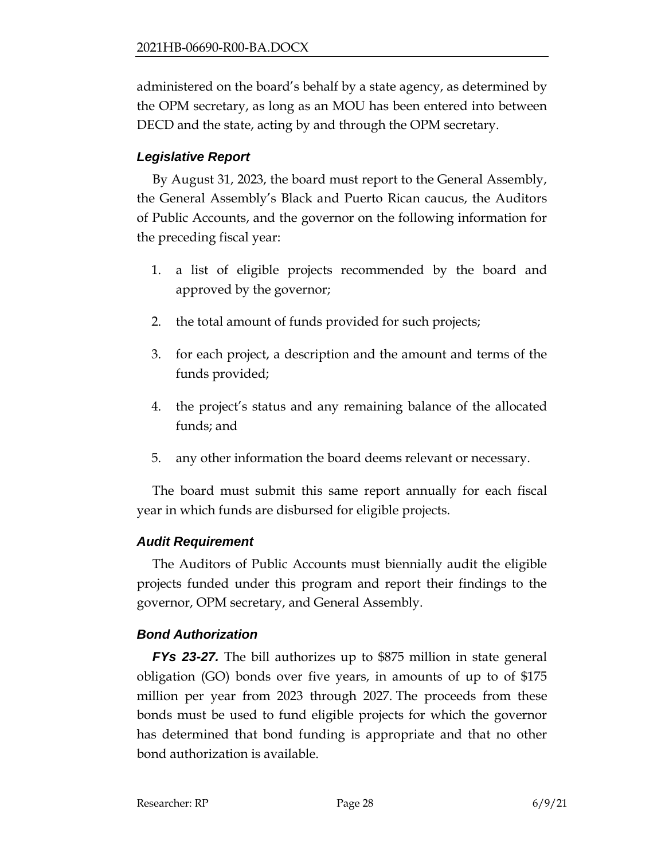administered on the board's behalf by a state agency, as determined by the OPM secretary, as long as an MOU has been entered into between DECD and the state, acting by and through the OPM secretary.

# *Legislative Report*

By August 31, 2023, the board must report to the General Assembly, the General Assembly's Black and Puerto Rican caucus, the Auditors of Public Accounts, and the governor on the following information for the preceding fiscal year:

- 1. a list of eligible projects recommended by the board and approved by the governor;
- 2. the total amount of funds provided for such projects;
- 3. for each project, a description and the amount and terms of the funds provided;
- 4. the project's status and any remaining balance of the allocated funds; and
- 5. any other information the board deems relevant or necessary.

The board must submit this same report annually for each fiscal year in which funds are disbursed for eligible projects.

# *Audit Requirement*

The Auditors of Public Accounts must biennially audit the eligible projects funded under this program and report their findings to the governor, OPM secretary, and General Assembly.

# *Bond Authorization*

*FYs 23-27.* The bill authorizes up to \$875 million in state general obligation (GO) bonds over five years, in amounts of up to of \$175 million per year from 2023 through 2027. The proceeds from these bonds must be used to fund eligible projects for which the governor has determined that bond funding is appropriate and that no other bond authorization is available.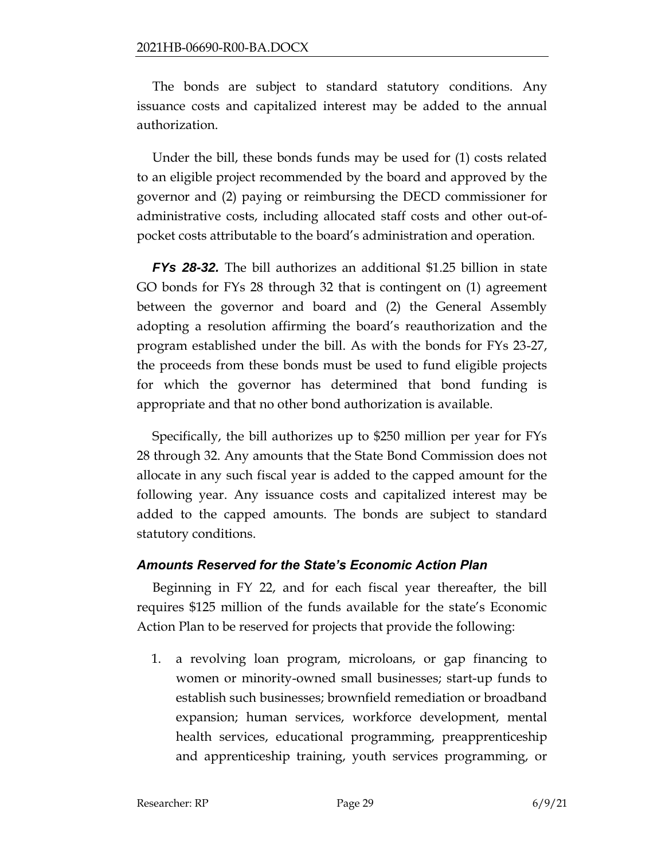The bonds are subject to standard statutory conditions. Any issuance costs and capitalized interest may be added to the annual authorization.

Under the bill, these bonds funds may be used for (1) costs related to an eligible project recommended by the board and approved by the governor and (2) paying or reimbursing the DECD commissioner for administrative costs, including allocated staff costs and other out-ofpocket costs attributable to the board's administration and operation.

*FYs 28-32.* The bill authorizes an additional \$1.25 billion in state GO bonds for FYs 28 through 32 that is contingent on (1) agreement between the governor and board and (2) the General Assembly adopting a resolution affirming the board's reauthorization and the program established under the bill. As with the bonds for FYs 23-27, the proceeds from these bonds must be used to fund eligible projects for which the governor has determined that bond funding is appropriate and that no other bond authorization is available.

Specifically, the bill authorizes up to \$250 million per year for FYs 28 through 32. Any amounts that the State Bond Commission does not allocate in any such fiscal year is added to the capped amount for the following year. Any issuance costs and capitalized interest may be added to the capped amounts. The bonds are subject to standard statutory conditions.

### *Amounts Reserved for the State's Economic Action Plan*

Beginning in FY 22, and for each fiscal year thereafter, the bill requires \$125 million of the funds available for the state's Economic Action Plan to be reserved for projects that provide the following:

1. a revolving loan program, microloans, or gap financing to women or minority-owned small businesses; start-up funds to establish such businesses; brownfield remediation or broadband expansion; human services, workforce development, mental health services, educational programming, preapprenticeship and apprenticeship training, youth services programming, or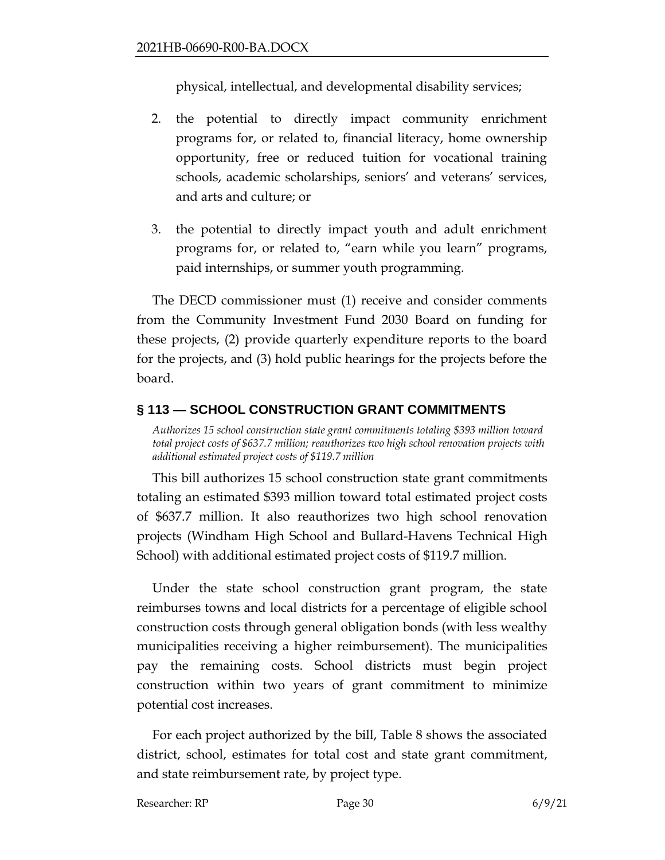physical, intellectual, and developmental disability services;

- 2. the potential to directly impact community enrichment programs for, or related to, financial literacy, home ownership opportunity, free or reduced tuition for vocational training schools, academic scholarships, seniors' and veterans' services, and arts and culture; or
- 3. the potential to directly impact youth and adult enrichment programs for, or related to, "earn while you learn" programs, paid internships, or summer youth programming.

The DECD commissioner must (1) receive and consider comments from the Community Investment Fund 2030 Board on funding for these projects, (2) provide quarterly expenditure reports to the board for the projects, and (3) hold public hearings for the projects before the board.

## <span id="page-29-0"></span>**§ 113 — SCHOOL CONSTRUCTION GRANT COMMITMENTS**

*Authorizes 15 school construction state grant commitments totaling \$393 million toward total project costs of \$637.7 million; reauthorizes two high school renovation projects with additional estimated project costs of \$119.7 million*

This bill authorizes 15 school construction state grant commitments totaling an estimated \$393 million toward total estimated project costs of \$637.7 million. It also reauthorizes two high school renovation projects (Windham High School and Bullard-Havens Technical High School) with additional estimated project costs of \$119.7 million.

Under the state school construction grant program, the state reimburses towns and local districts for a percentage of eligible school construction costs through general obligation bonds (with less wealthy municipalities receiving a higher reimbursement). The municipalities pay the remaining costs. School districts must begin project construction within two years of grant commitment to minimize potential cost increases.

For each project authorized by the bill, Table 8 shows the associated district, school, estimates for total cost and state grant commitment, and state reimbursement rate, by project type.

Researcher: RP Page 30 6/9/21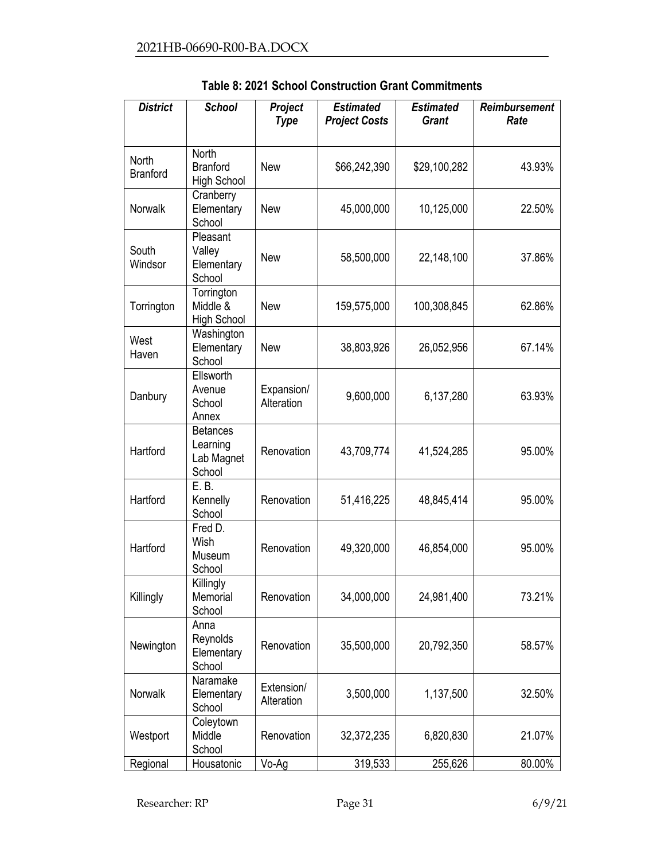| <b>District</b>          | <b>School</b>                                       | Project<br><b>Type</b>   | <b>Estimated</b><br><b>Project Costs</b> | <b>Estimated</b><br><b>Grant</b> | <b>Reimbursement</b><br>Rate |
|--------------------------|-----------------------------------------------------|--------------------------|------------------------------------------|----------------------------------|------------------------------|
| North<br><b>Branford</b> | <b>North</b><br><b>Branford</b><br>High School      | <b>New</b>               | \$66,242,390                             | \$29,100,282                     | 43.93%                       |
| Norwalk                  | Cranberry<br>Elementary<br>School                   | <b>New</b>               | 45,000,000                               | 10,125,000                       | 22.50%                       |
| South<br>Windsor         | Pleasant<br>Valley<br>Elementary<br>School          | <b>New</b>               | 58,500,000                               | 22,148,100                       | 37.86%                       |
| Torrington               | Torrington<br>Middle &<br><b>High School</b>        | <b>New</b>               | 159,575,000                              | 100,308,845                      | 62.86%                       |
| West<br>Haven            | Washington<br>Elementary<br>School                  | <b>New</b>               | 38,803,926                               | 26,052,956                       | 67.14%                       |
| Danbury                  | Ellsworth<br>Avenue<br>School<br>Annex              | Expansion/<br>Alteration | 9,600,000                                | 6,137,280                        | 63.93%                       |
| Hartford                 | <b>Betances</b><br>Learning<br>Lab Magnet<br>School | Renovation               | 43,709,774                               | 41,524,285                       | 95.00%                       |
| Hartford                 | E. B.<br>Kennelly<br>School                         | Renovation               | 51,416,225                               | 48,845,414                       | 95.00%                       |
| Hartford                 | Fred D.<br>Wish<br>Museum<br>School                 | Renovation               | 49,320,000                               | 46,854,000                       | 95.00%                       |
| Killingly                | Killingly<br>Memorial<br>School                     | Renovation               | 34,000,000                               | 24,981,400                       | 73.21%                       |
| Newington                | Anna<br>Reynolds<br>Elementary<br>School            | Renovation               | 35,500,000                               | 20,792,350                       | 58.57%                       |
| Norwalk                  | Naramake<br>Elementary<br>School                    | Extension/<br>Alteration | 3,500,000                                | 1,137,500                        | 32.50%                       |
| Westport                 | Coleytown<br>Middle<br>School                       | Renovation               | 32,372,235                               | 6,820,830                        | 21.07%                       |
| Regional                 | Housatonic                                          | Vo-Ag                    | 319,533                                  | 255,626                          | 80.00%                       |

**Table 8: 2021 School Construction Grant Commitments**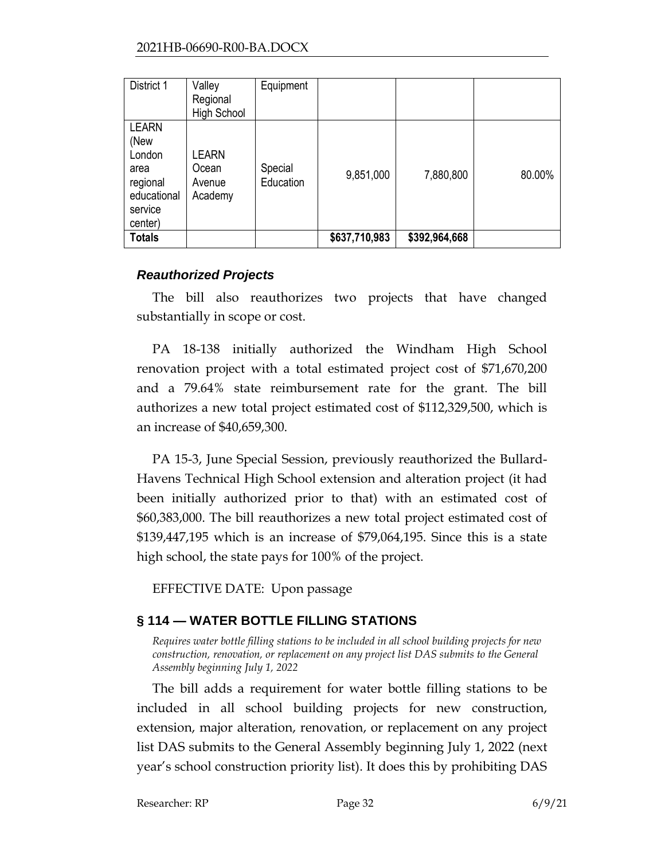| District 1                                                                              | Valley<br>Regional<br><b>High School</b>   | Equipment            |               |               |        |
|-----------------------------------------------------------------------------------------|--------------------------------------------|----------------------|---------------|---------------|--------|
| <b>LEARN</b><br>(New<br>London<br>area<br>regional<br>educational<br>service<br>center) | <b>_EARN</b><br>Ocean<br>Avenue<br>Academy | Special<br>Education | 9,851,000     | 7,880,800     | 80.00% |
| <b>Totals</b>                                                                           |                                            |                      | \$637,710,983 | \$392,964,668 |        |

### *Reauthorized Projects*

The bill also reauthorizes two projects that have changed substantially in scope or cost.

PA 18-138 initially authorized the Windham High School renovation project with a total estimated project cost of \$71,670,200 and a 79.64% state reimbursement rate for the grant. The bill authorizes a new total project estimated cost of \$112,329,500, which is an increase of \$40,659,300.

PA 15-3, June Special Session, previously reauthorized the Bullard-Havens Technical High School extension and alteration project (it had been initially authorized prior to that) with an estimated cost of \$60,383,000. The bill reauthorizes a new total project estimated cost of \$139,447,195 which is an increase of \$79,064,195. Since this is a state high school, the state pays for 100% of the project.

EFFECTIVE DATE: Upon passage

# <span id="page-31-0"></span>**§ 114 — WATER BOTTLE FILLING STATIONS**

*Requires water bottle filling stations to be included in all school building projects for new construction, renovation, or replacement on any project list DAS submits to the General Assembly beginning July 1, 2022*

The bill adds a requirement for water bottle filling stations to be included in all school building projects for new construction, extension, major alteration, renovation, or replacement on any project list DAS submits to the General Assembly beginning July 1, 2022 (next year's school construction priority list). It does this by prohibiting DAS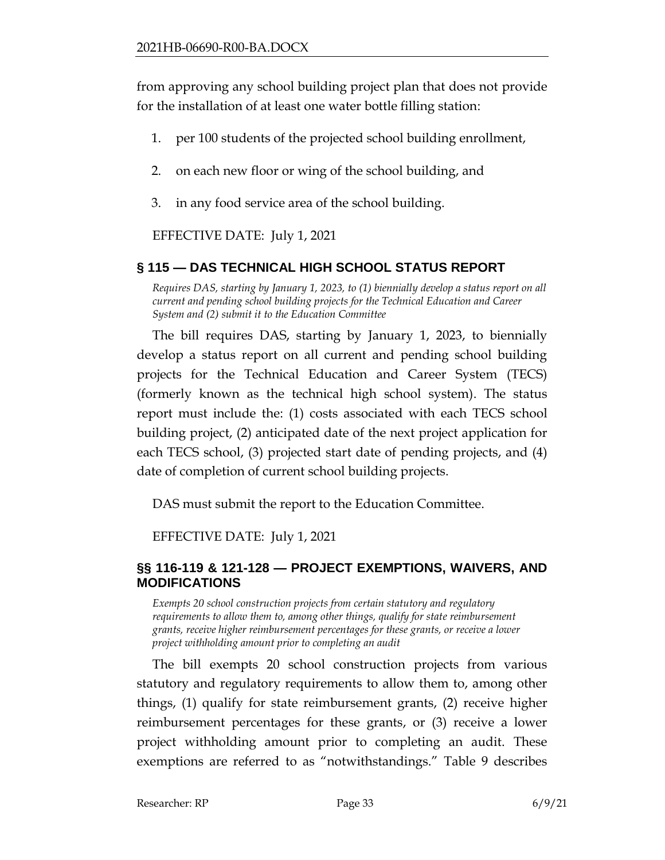from approving any school building project plan that does not provide for the installation of at least one water bottle filling station:

- 1. per 100 students of the projected school building enrollment,
- 2. on each new floor or wing of the school building, and
- 3. in any food service area of the school building.

EFFECTIVE DATE: July 1, 2021

### <span id="page-32-0"></span>**§ 115 — DAS TECHNICAL HIGH SCHOOL STATUS REPORT**

*Requires DAS, starting by January 1, 2023, to (1) biennially develop a status report on all current and pending school building projects for the Technical Education and Career System and (2) submit it to the Education Committee*

The bill requires DAS, starting by January 1, 2023, to biennially develop a status report on all current and pending school building projects for the Technical Education and Career System (TECS) (formerly known as the technical high school system). The status report must include the: (1) costs associated with each TECS school building project, (2) anticipated date of the next project application for each TECS school, (3) projected start date of pending projects, and (4) date of completion of current school building projects.

DAS must submit the report to the Education Committee.

EFFECTIVE DATE: July 1, 2021

### <span id="page-32-1"></span>**§§ 116-119 & 121-128 — PROJECT EXEMPTIONS, WAIVERS, AND MODIFICATIONS**

*Exempts 20 school construction projects from certain statutory and regulatory requirements to allow them to, among other things, qualify for state reimbursement grants, receive higher reimbursement percentages for these grants, or receive a lower project withholding amount prior to completing an audit*

The bill exempts 20 school construction projects from various statutory and regulatory requirements to allow them to, among other things, (1) qualify for state reimbursement grants, (2) receive higher reimbursement percentages for these grants, or (3) receive a lower project withholding amount prior to completing an audit. These exemptions are referred to as "notwithstandings." Table 9 describes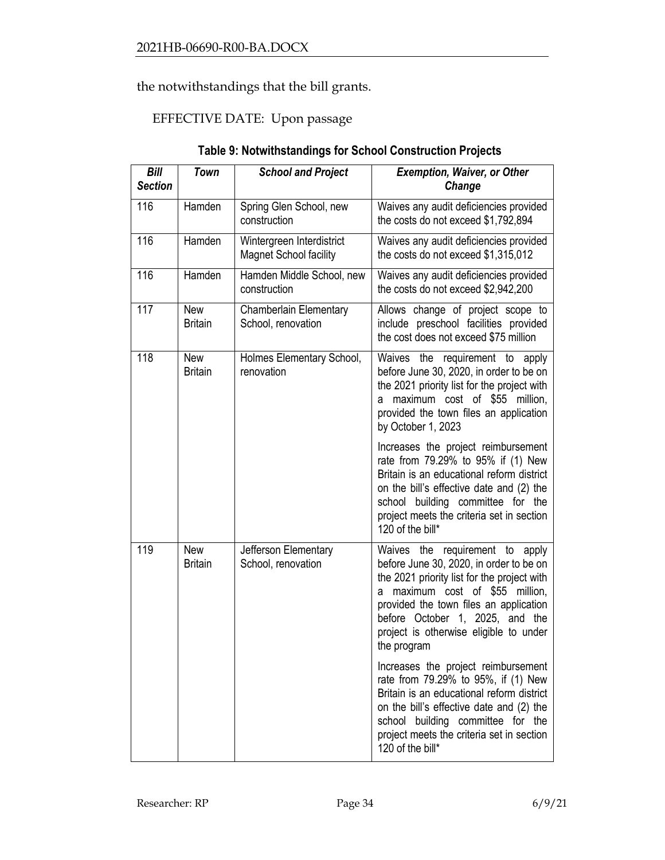the notwithstandings that the bill grants.

## EFFECTIVE DATE: Upon passage

| Bill<br><b>Section</b> | <b>Town</b>                  | <b>School and Project</b>                                                                                                                   | <b>Exemption, Waiver, or Other</b><br>Change                                                                                                                                                                                                                                                          |
|------------------------|------------------------------|---------------------------------------------------------------------------------------------------------------------------------------------|-------------------------------------------------------------------------------------------------------------------------------------------------------------------------------------------------------------------------------------------------------------------------------------------------------|
| 116                    | Hamden                       | Spring Glen School, new<br>construction                                                                                                     | Waives any audit deficiencies provided<br>the costs do not exceed \$1,792,894                                                                                                                                                                                                                         |
| 116                    | Hamden                       | Wintergreen Interdistrict<br>Waives any audit deficiencies provided<br>the costs do not exceed \$1,315,012<br><b>Magnet School facility</b> |                                                                                                                                                                                                                                                                                                       |
| 116                    | Hamden                       | Hamden Middle School, new<br>construction                                                                                                   | Waives any audit deficiencies provided<br>the costs do not exceed \$2,942,200                                                                                                                                                                                                                         |
| 117                    | <b>New</b><br><b>Britain</b> | Chamberlain Elementary<br>School, renovation                                                                                                | Allows change of project scope to<br>include preschool facilities provided<br>the cost does not exceed \$75 million                                                                                                                                                                                   |
| 118                    | <b>New</b><br><b>Britain</b> | Holmes Elementary School,<br>renovation                                                                                                     | Waives the<br>requirement to apply<br>before June 30, 2020, in order to be on<br>the 2021 priority list for the project with<br>a maximum cost of \$55 million,<br>provided the town files an application<br>by October 1, 2023                                                                       |
|                        |                              |                                                                                                                                             | Increases the project reimbursement<br>rate from 79.29% to 95% if (1) New<br>Britain is an educational reform district<br>on the bill's effective date and (2) the<br>school building committee for the<br>project meets the criteria set in section<br>120 of the bill*                              |
| 119                    | <b>New</b><br><b>Britain</b> | Jefferson Elementary<br>School, renovation                                                                                                  | Waives the requirement to apply<br>before June 30, 2020, in order to be on<br>the 2021 priority list for the project with<br>maximum cost of \$55 million,<br>a<br>provided the town files an application<br>before October 1, 2025, and the<br>project is otherwise eligible to under<br>the program |
|                        |                              |                                                                                                                                             | Increases the project reimbursement<br>rate from 79.29% to 95%, if (1) New<br>Britain is an educational reform district<br>on the bill's effective date and (2) the<br>school building committee for the<br>project meets the criteria set in section<br>120 of the bill*                             |

### **Table 9: Notwithstandings for School Construction Projects**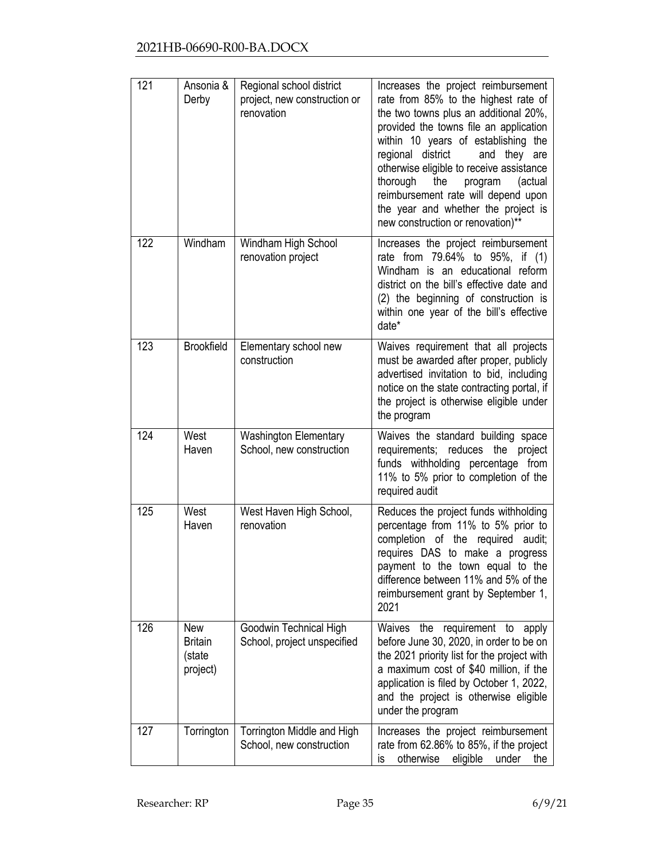| 121 | Ansonia &<br>Derby                                 | Regional school district<br>project, new construction or<br>renovation | Increases the project reimbursement<br>rate from 85% to the highest rate of<br>the two towns plus an additional 20%,<br>provided the towns file an application<br>within 10 years of establishing the<br>regional district<br>and they are<br>otherwise eligible to receive assistance<br>thorough<br>program<br>the<br>(actual<br>reimbursement rate will depend upon<br>the year and whether the project is<br>new construction or renovation)** |
|-----|----------------------------------------------------|------------------------------------------------------------------------|----------------------------------------------------------------------------------------------------------------------------------------------------------------------------------------------------------------------------------------------------------------------------------------------------------------------------------------------------------------------------------------------------------------------------------------------------|
| 122 | Windham                                            | Windham High School<br>renovation project                              | Increases the project reimbursement<br>rate from 79.64% to 95%, if (1)<br>Windham is an educational reform<br>district on the bill's effective date and<br>(2) the beginning of construction is<br>within one year of the bill's effective<br>date*                                                                                                                                                                                                |
| 123 | <b>Brookfield</b>                                  | Elementary school new<br>construction                                  | Waives requirement that all projects<br>must be awarded after proper, publicly<br>advertised invitation to bid, including<br>notice on the state contracting portal, if<br>the project is otherwise eligible under<br>the program                                                                                                                                                                                                                  |
| 124 | West<br>Haven                                      | <b>Washington Elementary</b><br>School, new construction               | Waives the standard building space<br>requirements; reduces the<br>project<br>funds withholding percentage from<br>11% to 5% prior to completion of the<br>required audit                                                                                                                                                                                                                                                                          |
| 125 | West<br>Haven                                      | West Haven High School,<br>renovation                                  | Reduces the project funds withholding<br>percentage from 11% to 5% prior to<br>completion of the required audit;<br>requires DAS to make a progress<br>payment to the town equal to the<br>difference between 11% and 5% of the<br>reimbursement grant by September 1,<br>2021                                                                                                                                                                     |
| 126 | <b>New</b><br><b>Britain</b><br>(state<br>project) | Goodwin Technical High<br>School, project unspecified                  | the requirement to<br>Waives<br>apply<br>before June 30, 2020, in order to be on<br>the 2021 priority list for the project with<br>a maximum cost of \$40 million, if the<br>application is filed by October 1, 2022,<br>and the project is otherwise eligible<br>under the program                                                                                                                                                                |
| 127 | Torrington                                         | Torrington Middle and High<br>School, new construction                 | Increases the project reimbursement<br>rate from 62.86% to 85%, if the project<br>otherwise<br>eligible<br>under<br>is<br>the                                                                                                                                                                                                                                                                                                                      |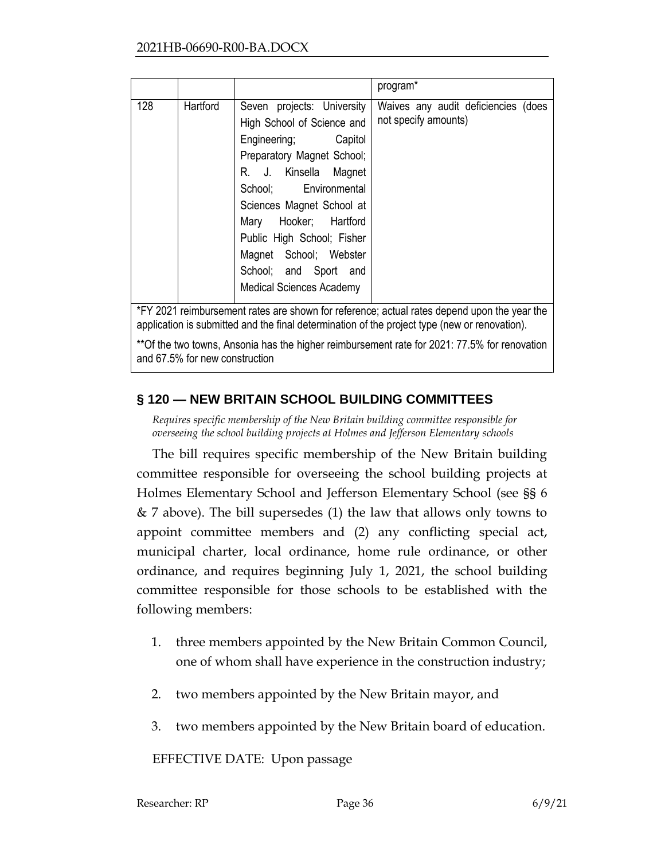|     |          |                                                                                                                                                                                                                                                                                                                                            | program*                                                    |
|-----|----------|--------------------------------------------------------------------------------------------------------------------------------------------------------------------------------------------------------------------------------------------------------------------------------------------------------------------------------------------|-------------------------------------------------------------|
| 128 | Hartford | Seven projects: University<br>High School of Science and<br>Engineering; Capitol<br>Preparatory Magnet School;<br>R. J. Kinsella Magnet<br>School; Environmental<br>Sciences Magnet School at<br>Mary Hooker; Hartford<br>Public High School; Fisher<br>Magnet School; Webster<br>School; and Sport and<br><b>Medical Sciences Academy</b> | Waives any audit deficiencies (does<br>not specify amounts) |

\*FY 2021 reimbursement rates are shown for reference; actual rates depend upon the year the application is submitted and the final determination of the project type (new or renovation).

\*\*Of the two towns, Ansonia has the higher reimbursement rate for 2021: 77.5% for renovation and 67.5% for new construction

### <span id="page-35-0"></span>**§ 120 — NEW BRITAIN SCHOOL BUILDING COMMITTEES**

*Requires specific membership of the New Britain building committee responsible for overseeing the school building projects at Holmes and Jefferson Elementary schools*

The bill requires specific membership of the New Britain building committee responsible for overseeing the school building projects at Holmes Elementary School and Jefferson Elementary School (see §§ 6 & 7 above). The bill supersedes (1) the law that allows only towns to appoint committee members and (2) any conflicting special act, municipal charter, local ordinance, home rule ordinance, or other ordinance, and requires beginning July 1, 2021, the school building committee responsible for those schools to be established with the following members:

- 1. three members appointed by the New Britain Common Council, one of whom shall have experience in the construction industry;
- 2. two members appointed by the New Britain mayor, and
- 3. two members appointed by the New Britain board of education.

EFFECTIVE DATE: Upon passage